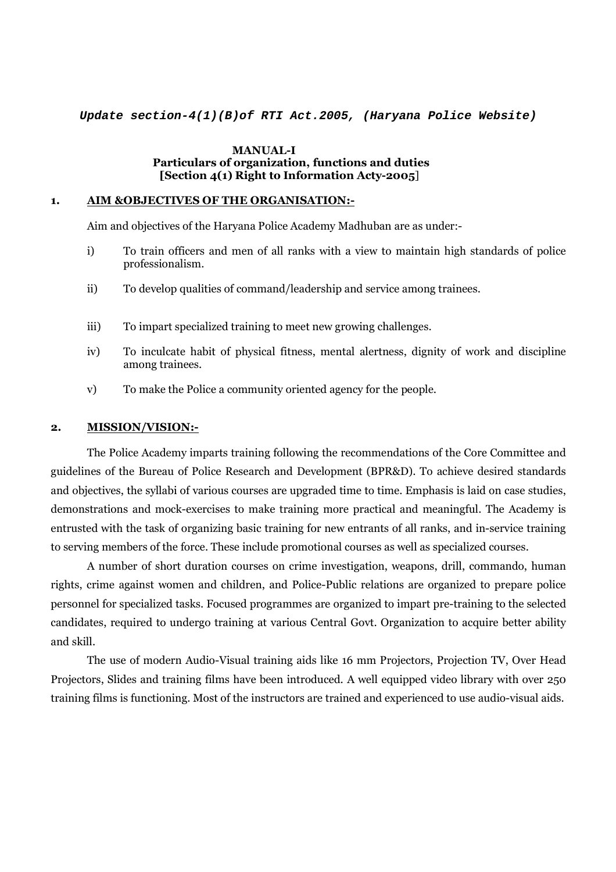**Update section-4(1)(B)of RTI Act.2005, (Haryana Police Website)**

#### **MANUAL-I Particulars of organization, functions and duties [Section 4(1) Right to Information Acty-2005**]

### **1. AIM &OBJECTIVES OF THE ORGANISATION:-**

Aim and objectives of the Haryana Police Academy Madhuban are as under:-

- i) To train officers and men of all ranks with a view to maintain high standards of police professionalism.
- ii) To develop qualities of command/leadership and service among trainees.
- iii) To impart specialized training to meet new growing challenges.
- iv) To inculcate habit of physical fitness, mental alertness, dignity of work and discipline among trainees.
- v) To make the Police a community oriented agency for the people.

#### **2. MISSION/VISION:-**

 The Police Academy imparts training following the recommendations of the Core Committee and guidelines of the Bureau of Police Research and Development (BPR&D). To achieve desired standards and objectives, the syllabi of various courses are upgraded time to time. Emphasis is laid on case studies, demonstrations and mock-exercises to make training more practical and meaningful. The Academy is entrusted with the task of organizing basic training for new entrants of all ranks, and in-service training to serving members of the force. These include promotional courses as well as specialized courses.

 A number of short duration courses on crime investigation, weapons, drill, commando, human rights, crime against women and children, and Police-Public relations are organized to prepare police personnel for specialized tasks. Focused programmes are organized to impart pre-training to the selected candidates, required to undergo training at various Central Govt. Organization to acquire better ability and skill.

 The use of modern Audio-Visual training aids like 16 mm Projectors, Projection TV, Over Head Projectors, Slides and training films have been introduced. A well equipped video library with over 250 training films is functioning. Most of the instructors are trained and experienced to use audio-visual aids.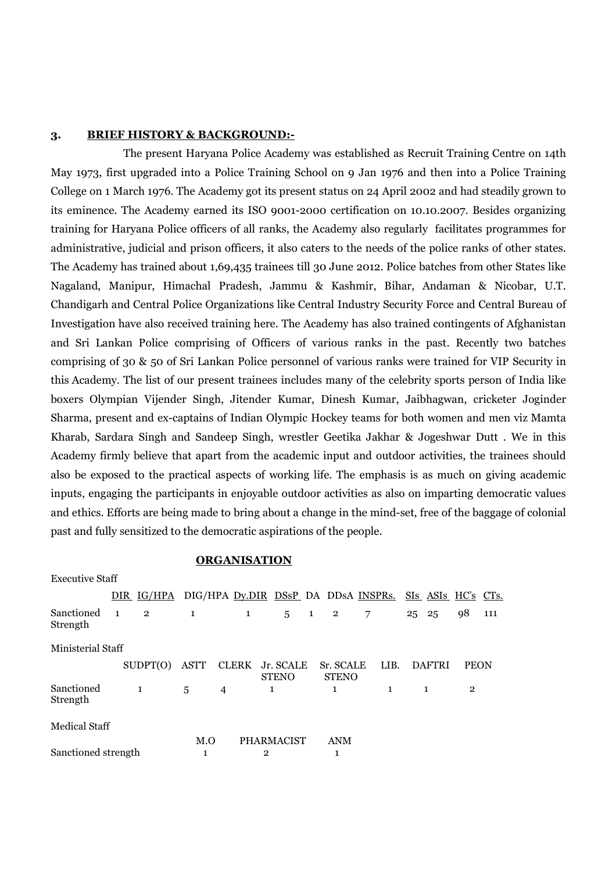#### **3. BRIEF HISTORY & BACKGROUND:-**

 The present Haryana Police Academy was established as Recruit Training Centre on 14th May 1973, first upgraded into a Police Training School on 9 Jan 1976 and then into a Police Training College on 1 March 1976. The Academy got its present status on 24 April 2002 and had steadily grown to its eminence. The Academy earned its ISO 9001-2000 certification on 10.10.2007. Besides organizing training for Haryana Police officers of all ranks, the Academy also regularly facilitates programmes for administrative, judicial and prison officers, it also caters to the needs of the police ranks of other states. The Academy has trained about 1,69,435 trainees till 30 June 2012. Police batches from other States like Nagaland, Manipur, Himachal Pradesh, Jammu & Kashmir, Bihar, Andaman & Nicobar, U.T. Chandigarh and Central Police Organizations like Central Industry Security Force and Central Bureau of Investigation have also received training here. The Academy has also trained contingents of Afghanistan and Sri Lankan Police comprising of Officers of various ranks in the past. Recently two batches comprising of 30 & 50 of Sri Lankan Police personnel of various ranks were trained for VIP Security in this Academy. The list of our present trainees includes many of the celebrity sports person of India like boxers Olympian Vijender Singh, Jitender Kumar, Dinesh Kumar, Jaibhagwan, cricketer Joginder Sharma, present and ex-captains of Indian Olympic Hockey teams for both women and men viz Mamta Kharab, Sardara Singh and Sandeep Singh, wrestler Geetika Jakhar & Jogeshwar Dutt . We in this Academy firmly believe that apart from the academic input and outdoor activities, the trainees should also be exposed to the practical aspects of working life. The emphasis is as much on giving academic inputs, engaging the participants in enjoyable outdoor activities as also on imparting democratic values and ethics. Efforts are being made to bring about a change in the mind-set, free of the baggage of colonial past and fully sensitized to the democratic aspirations of the people.

#### **ORGANISATION**

Executive Staff

|                          | DIR IG/HPA DIG/HPA Dy.DIR DSsP DA DDSA INSPRS. SIS ASIS HC's CTs. |              |   |              |                                 |              |                           |   |              |       |               |                |     |
|--------------------------|-------------------------------------------------------------------|--------------|---|--------------|---------------------------------|--------------|---------------------------|---|--------------|-------|---------------|----------------|-----|
| Sanctioned 1<br>Strength | $\overline{\phantom{a}}^2$                                        | $\mathbf{1}$ |   | $\mathbf{1}$ | $5^{\circ}$                     | $\mathbf{1}$ | $\overline{2}$            | 7 |              | 25 25 |               | 98             | 111 |
| Ministerial Staff        |                                                                   |              |   |              |                                 |              |                           |   |              |       |               |                |     |
|                          | SUPPT(O)                                                          | ASTT         |   |              | CLERK Jr. SCALE<br><b>STENO</b> |              | Sr. SCALE<br><b>STENO</b> |   | LIB.         |       | <b>DAFTRI</b> | <b>PEON</b>    |     |
| Sanctioned<br>Strength   | $\mathbf{1}$                                                      | 5            | 4 |              | 1                               |              | 1                         |   | $\mathbf{1}$ |       |               | $\overline{2}$ |     |
| Medical Staff            |                                                                   |              |   |              |                                 |              |                           |   |              |       |               |                |     |
|                          |                                                                   | M.O          |   |              | <b>PHARMACIST</b>               |              | <b>ANM</b>                |   |              |       |               |                |     |
| Sanctioned strength      |                                                                   | 1            |   |              | 2                               |              | 1                         |   |              |       |               |                |     |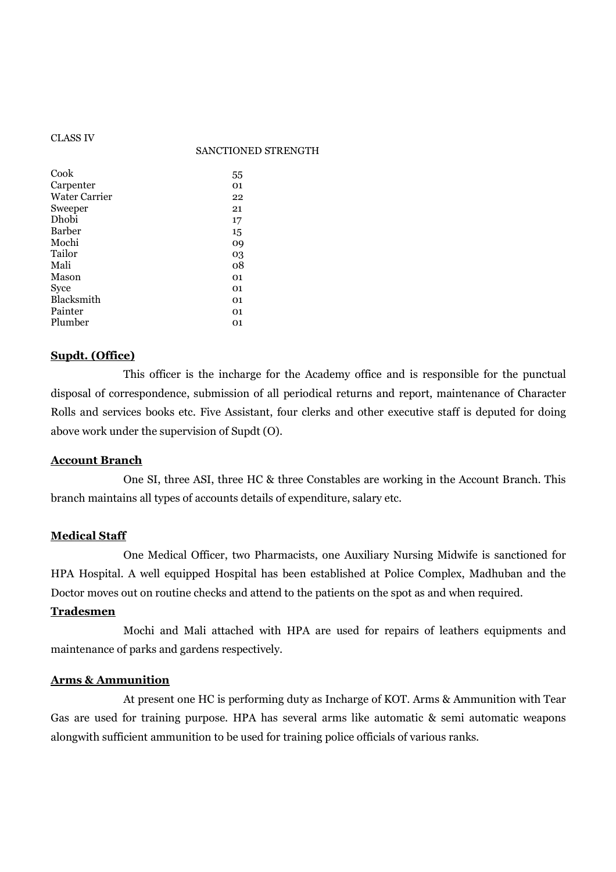#### CLASS IV

#### SANCTIONED STRENGTH

| 55 |
|----|
| 01 |
| 22 |
| 21 |
| 17 |
| 15 |
| 09 |
| 03 |
| 08 |
| 01 |
| 01 |
| 01 |
| 01 |
| 01 |
|    |

#### **Supdt. (Office)**

 This officer is the incharge for the Academy office and is responsible for the punctual disposal of correspondence, submission of all periodical returns and report, maintenance of Character Rolls and services books etc. Five Assistant, four clerks and other executive staff is deputed for doing above work under the supervision of Supdt (O).

#### **Account Branch**

 One SI, three ASI, three HC & three Constables are working in the Account Branch. This branch maintains all types of accounts details of expenditure, salary etc.

#### **Medical Staff**

 One Medical Officer, two Pharmacists, one Auxiliary Nursing Midwife is sanctioned for HPA Hospital. A well equipped Hospital has been established at Police Complex, Madhuban and the Doctor moves out on routine checks and attend to the patients on the spot as and when required.

#### **Tradesmen**

 Mochi and Mali attached with HPA are used for repairs of leathers equipments and maintenance of parks and gardens respectively.

### **Arms & Ammunition**

 At present one HC is performing duty as Incharge of KOT. Arms & Ammunition with Tear Gas are used for training purpose. HPA has several arms like automatic & semi automatic weapons alongwith sufficient ammunition to be used for training police officials of various ranks.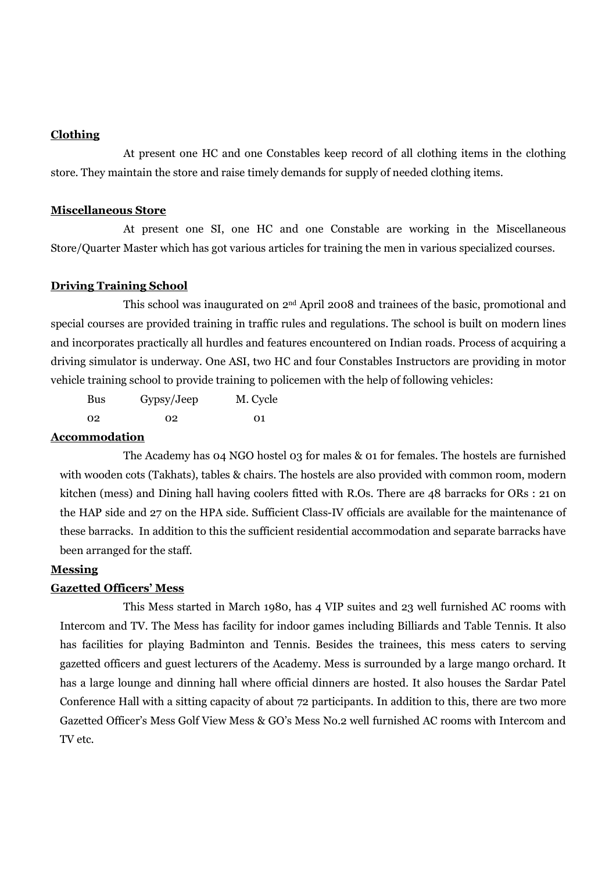### **Clothing**

 At present one HC and one Constables keep record of all clothing items in the clothing store. They maintain the store and raise timely demands for supply of needed clothing items.

#### **Miscellaneous Store**

 At present one SI, one HC and one Constable are working in the Miscellaneous Store/Quarter Master which has got various articles for training the men in various specialized courses.

#### **Driving Training School**

 This school was inaugurated on 2nd April 2008 and trainees of the basic, promotional and special courses are provided training in traffic rules and regulations. The school is built on modern lines and incorporates practically all hurdles and features encountered on Indian roads. Process of acquiring a driving simulator is underway. One ASI, two HC and four Constables Instructors are providing in motor vehicle training school to provide training to policemen with the help of following vehicles:

 Bus Gypsy/Jeep M. Cycle 02 02 01

### **Accommodation**

 The Academy has 04 NGO hostel 03 for males & 01 for females. The hostels are furnished with wooden cots (Takhats), tables & chairs. The hostels are also provided with common room, modern kitchen (mess) and Dining hall having coolers fitted with R.Os. There are 48 barracks for ORs : 21 on the HAP side and 27 on the HPA side. Sufficient Class-IV officials are available for the maintenance of these barracks. In addition to this the sufficient residential accommodation and separate barracks have been arranged for the staff.

#### **Messing**

#### **Gazetted Officers' Mess**

 This Mess started in March 1980, has 4 VIP suites and 23 well furnished AC rooms with Intercom and TV. The Mess has facility for indoor games including Billiards and Table Tennis. It also has facilities for playing Badminton and Tennis. Besides the trainees, this mess caters to serving gazetted officers and guest lecturers of the Academy. Mess is surrounded by a large mango orchard. It has a large lounge and dinning hall where official dinners are hosted. It also houses the Sardar Patel Conference Hall with a sitting capacity of about 72 participants. In addition to this, there are two more Gazetted Officer's Mess Golf View Mess & GO's Mess No.2 well furnished AC rooms with Intercom and TV etc.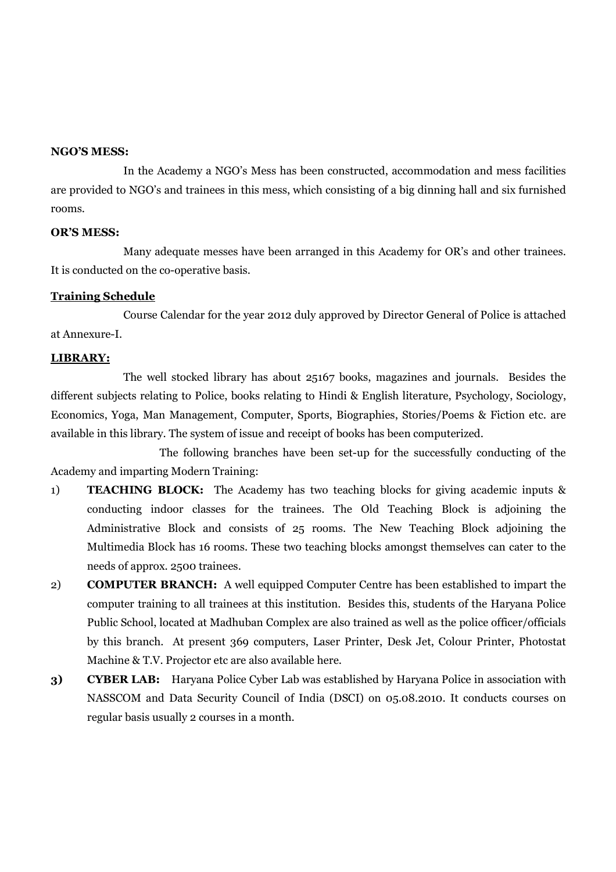#### **NGO'S MESS:**

In the Academy a NGO's Mess has been constructed, accommodation and mess facilities are provided to NGO's and trainees in this mess, which consisting of a big dinning hall and six furnished rooms.

### **OR'S MESS:**

Many adequate messes have been arranged in this Academy for OR's and other trainees. It is conducted on the co-operative basis.

#### **Training Schedule**

 Course Calendar for the year 2012 duly approved by Director General of Police is attached at Annexure-I.

### **LIBRARY:**

The well stocked library has about 25167 books, magazines and journals. Besides the different subjects relating to Police, books relating to Hindi & English literature, Psychology, Sociology, Economics, Yoga, Man Management, Computer, Sports, Biographies, Stories/Poems & Fiction etc. are available in this library. The system of issue and receipt of books has been computerized.

 The following branches have been set-up for the successfully conducting of the Academy and imparting Modern Training:

- 1) **TEACHING BLOCK:** The Academy has two teaching blocks for giving academic inputs & conducting indoor classes for the trainees. The Old Teaching Block is adjoining the Administrative Block and consists of 25 rooms. The New Teaching Block adjoining the Multimedia Block has 16 rooms. These two teaching blocks amongst themselves can cater to the needs of approx. 2500 trainees.
- 2) **COMPUTER BRANCH:** A well equipped Computer Centre has been established to impart the computer training to all trainees at this institution. Besides this, students of the Haryana Police Public School, located at Madhuban Complex are also trained as well as the police officer/officials by this branch. At present 369 computers, Laser Printer, Desk Jet, Colour Printer, Photostat Machine & T.V. Projector etc are also available here.
- **3) CYBER LAB:** Haryana Police Cyber Lab was established by Haryana Police in association with NASSCOM and Data Security Council of India (DSCI) on 05.08.2010. It conducts courses on regular basis usually 2 courses in a month.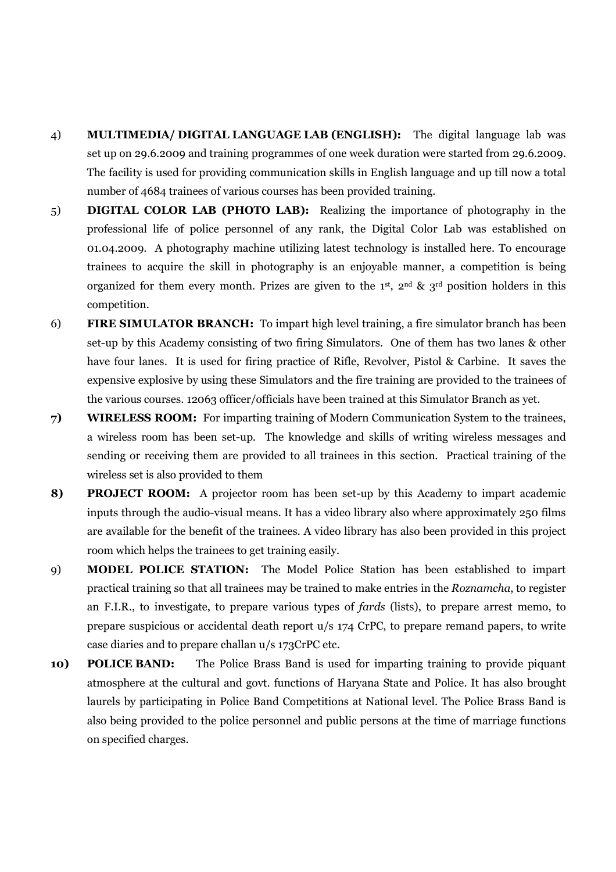- 4) **MULTIMEDIA/ DIGITAL LANGUAGE LAB (ENGLISH):** The digital language lab was set up on 29.6.2009 and training programmes of one week duration were started from 29.6.2009. The facility is used for providing communication skills in English language and up till now a total number of 4684 trainees of various courses has been provided training.
- 5) **DIGITAL COLOR LAB (PHOTO LAB):** Realizing the importance of photography in the professional life of police personnel of any rank, the Digital Color Lab was established on 01.04.2009. A photography machine utilizing latest technology is installed here. To encourage trainees to acquire the skill in photography is an enjoyable manner, a competition is being organized for them every month. Prizes are given to the 1<sup>st</sup>, 2<sup>nd</sup> & 3<sup>rd</sup> position holders in this competition.
- 6) **FIRE SIMULATOR BRANCH:** To impart high level training, a fire simulator branch has been set-up by this Academy consisting of two firing Simulators. One of them has two lanes & other have four lanes. It is used for firing practice of Rifle, Revolver, Pistol & Carbine. It saves the expensive explosive by using these Simulators and the fire training are provided to the trainees of the various courses. 12063 officer/officials have been trained at this Simulator Branch as yet.
- **7) WIRELESS ROOM:** For imparting training of Modern Communication System to the trainees, a wireless room has been set-up. The knowledge and skills of writing wireless messages and sending or receiving them are provided to all trainees in this section. Practical training of the wireless set is also provided to them
- **8) PROJECT ROOM:** A projector room has been set-up by this Academy to impart academic inputs through the audio-visual means. It has a video library also where approximately 250 films are available for the benefit of the trainees. A video library has also been provided in this project room which helps the trainees to get training easily.
- 9) **MODEL POLICE STATION:** The Model Police Station has been established to impart practical training so that all trainees may be trained to make entries in the *Roznamcha*, to register an F.I.R., to investigate, to prepare various types of *fards* (lists), to prepare arrest memo, to prepare suspicious or accidental death report u/s 174 CrPC, to prepare remand papers, to write case diaries and to prepare challan u/s 173CrPC etc.
- **10) POLICE BAND:** The Police Brass Band is used for imparting training to provide piquant atmosphere at the cultural and govt. functions of Haryana State and Police. It has also brought laurels by participating in Police Band Competitions at National level. The Police Brass Band is also being provided to the police personnel and public persons at the time of marriage functions on specified charges.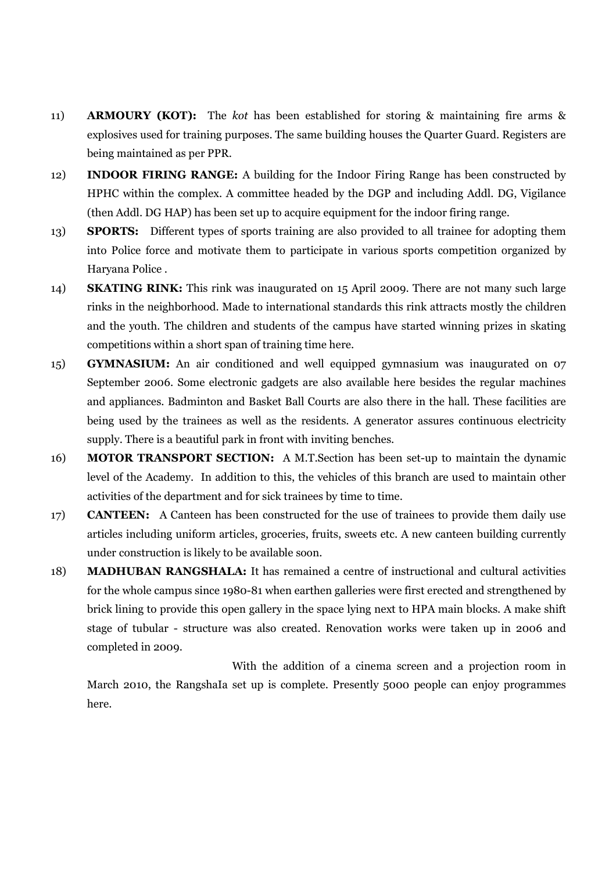- 11) **ARMOURY (KOT):** The *kot* has been established for storing & maintaining fire arms & explosives used for training purposes. The same building houses the Quarter Guard. Registers are being maintained as per PPR.
- 12) **INDOOR FIRING RANGE:** A building for the Indoor Firing Range has been constructed by HPHC within the complex. A committee headed by the DGP and including Addl. DG, Vigilance (then Addl. DG HAP) has been set up to acquire equipment for the indoor firing range.
- 13) **SPORTS:** Different types of sports training are also provided to all trainee for adopting them into Police force and motivate them to participate in various sports competition organized by Haryana Police .
- 14) **SKATING RINK:** This rink was inaugurated on 15 April 2009. There are not many such large rinks in the neighborhood. Made to international standards this rink attracts mostly the children and the youth. The children and students of the campus have started winning prizes in skating competitions within a short span of training time here.
- 15) **GYMNASIUM:** An air conditioned and well equipped gymnasium was inaugurated on 07 September 2006. Some electronic gadgets are also available here besides the regular machines and appliances. Badminton and Basket Ball Courts are also there in the hall. These facilities are being used by the trainees as well as the residents. A generator assures continuous electricity supply. There is a beautiful park in front with inviting benches.
- 16) **MOTOR TRANSPORT SECTION:** A M.T.Section has been set-up to maintain the dynamic level of the Academy. In addition to this, the vehicles of this branch are used to maintain other activities of the department and for sick trainees by time to time.
- 17) **CANTEEN:** A Canteen has been constructed for the use of trainees to provide them daily use articles including uniform articles, groceries, fruits, sweets etc. A new canteen building currently under construction is likely to be available soon.
- 18) **MADHUBAN RANGSHALA:** It has remained a centre of instructional and cultural activities for the whole campus since 1980-81 when earthen galleries were first erected and strengthened by brick lining to provide this open gallery in the space lying next to HPA main blocks. A make shift stage of tubular - structure was also created. Renovation works were taken up in 2006 and completed in 2009.

 With the addition of a cinema screen and a projection room in March 2010, the RangshaIa set up is complete. Presently 5000 people can enjoy programmes here.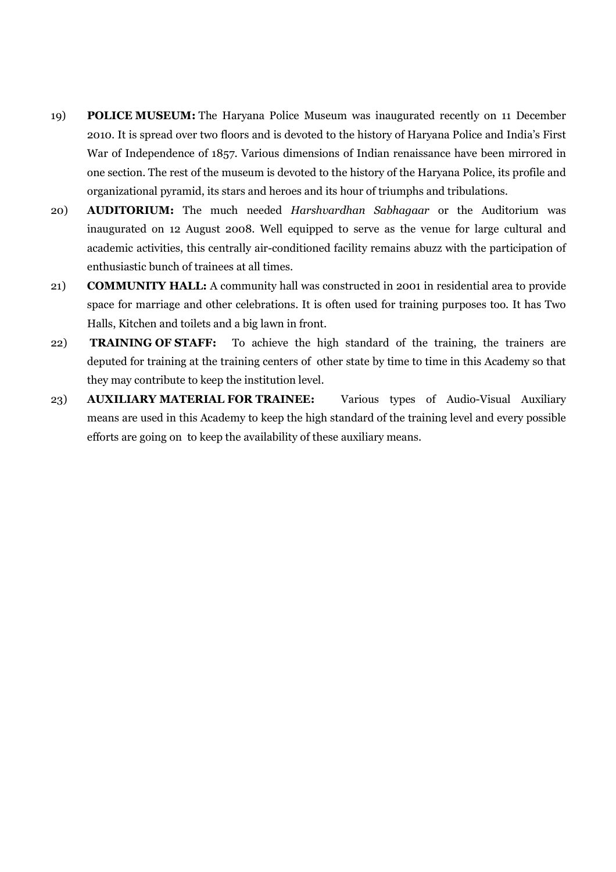- 19) **POLICE MUSEUM:** The Haryana Police Museum was inaugurated recently on 11 December 2010. It is spread over two floors and is devoted to the history of Haryana Police and India's First War of Independence of 1857. Various dimensions of Indian renaissance have been mirrored in one section. The rest of the museum is devoted to the history of the Haryana Police, its profile and organizational pyramid, its stars and heroes and its hour of triumphs and tribulations.
- 20) **AUDITORIUM:** The much needed *Harshvardhan Sabhagaar* or the Auditorium was inaugurated on 12 August 2008. Well equipped to serve as the venue for large cultural and academic activities, this centrally air-conditioned facility remains abuzz with the participation of enthusiastic bunch of trainees at all times.
- 21) **COMMUNITY HALL:** A community hall was constructed in 2001 in residential area to provide space for marriage and other celebrations. It is often used for training purposes too. It has Two Halls, Kitchen and toilets and a big lawn in front.
- 22) **TRAINING OF STAFF:** To achieve the high standard of the training, the trainers are deputed for training at the training centers of other state by time to time in this Academy so that they may contribute to keep the institution level.
- 23) **AUXILIARY MATERIAL FOR TRAINEE:** Various types of Audio-Visual Auxiliary means are used in this Academy to keep the high standard of the training level and every possible efforts are going on to keep the availability of these auxiliary means.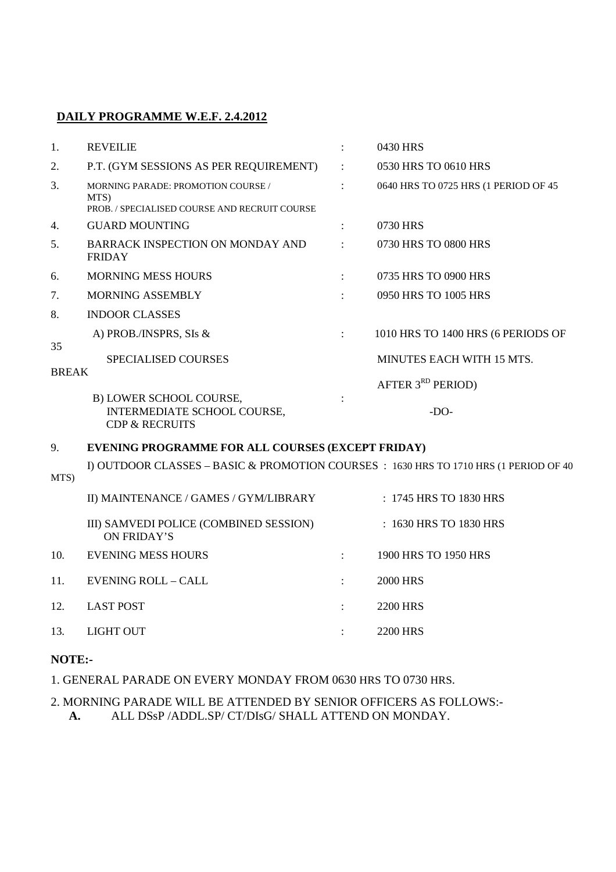### **4DAILY PROGRAMME W.E.F. 2.4.2012**

| 1.                 | <b>REVEILIE</b>                                                                                    |                      | 0430 HRS                             |
|--------------------|----------------------------------------------------------------------------------------------------|----------------------|--------------------------------------|
| 2.                 | P.T. (GYM SESSIONS AS PER REQUIREMENT)                                                             | $\ddot{\phantom{a}}$ | 0530 HRS TO 0610 HRS                 |
| 3.                 | <b>MORNING PARADE: PROMOTION COURSE /</b><br>MTS)<br>PROB. / SPECIALISED COURSE AND RECRUIT COURSE | $\ddot{\cdot}$       | 0640 HRS TO 0725 HRS (1 PERIOD OF 45 |
| 4.                 | <b>GUARD MOUNTING</b>                                                                              | $\ddot{\phantom{a}}$ | 0730 HRS                             |
| 5.                 | BARRACK INSPECTION ON MONDAY AND<br><b>FRIDAY</b>                                                  |                      | 0730 HRS TO 0800 HRS                 |
| 6.                 | <b>MORNING MESS HOURS</b>                                                                          | $\ddot{\phantom{a}}$ | 0735 HRS TO 0900 HRS                 |
| 7.                 | <b>MORNING ASSEMBLY</b>                                                                            | ÷                    | 0950 HRS TO 1005 HRS                 |
| 8.                 | <b>INDOOR CLASSES</b>                                                                              |                      |                                      |
|                    | A) PROB./INSPRS, SIs &                                                                             | $\ddot{\cdot}$       | 1010 HRS TO 1400 HRS (6 PERIODS OF   |
| 35<br><b>BREAK</b> | <b>SPECIALISED COURSES</b>                                                                         |                      | <b>MINUTES EACH WITH 15 MTS.</b>     |
|                    |                                                                                                    |                      | AFTER $3RD$ PERIOD)                  |
|                    | B) LOWER SCHOOL COURSE,<br>INTERMEDIATE SCHOOL COURSE,<br><b>CDP &amp; RECRUITS</b>                | $\ddot{\phantom{a}}$ | $-DO-$                               |
| $\Omega$           | <b>EVENING PROGRAMME FOR ALL COURSES (EXCEPT FRIDAV)</b>                                           |                      |                                      |

#### 9. **EVENING PROGRAMME FOR ALL COURSES (EXCEPT FRIDAY)**

I) OUTDOOR CLASSES – BASIC & PROMOTION COURSES : 1630 HRS TO 1710 HRS (1 PERIOD OF 40

MTS)

|     | II) MAINTENANCE / GAMES / GYM/LIBRARY                 | $: 1745$ HRS TO 1830 HRS |
|-----|-------------------------------------------------------|--------------------------|
|     | III) SAMVEDI POLICE (COMBINED SESSION)<br>ON FRIDAY'S | : 1630 HRS TO 1830 HRS   |
| 10. | <b>EVENING MESS HOURS</b>                             | 1900 HRS TO 1950 HRS     |
| 11. | <b>EVENING ROLL - CALL</b>                            | 2000 HRS                 |
| 12. | <b>LAST POST</b>                                      | 2200 HRS                 |
| 13. | LIGHT OUT                                             | 2200 HRS                 |
|     |                                                       |                          |

### **NOTE:-**

1. GENERAL PARADE ON EVERY MONDAY FROM 0630 HRS TO 0730 HRS.

### 2. MORNING PARADE WILL BE ATTENDED BY SENIOR OFFICERS AS FOLLOWS:- **A.** ALL DSsP /ADDL.SP/ CT/DIsG/ SHALL ATTEND ON MONDAY.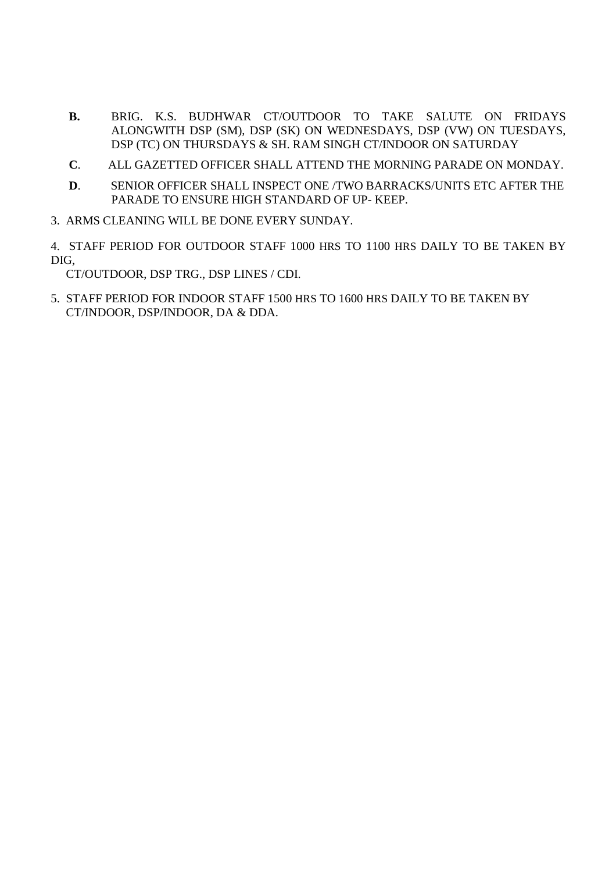- **B.** BRIG. K.S. BUDHWAR CT/OUTDOOR TO TAKE SALUTE ON FRIDAYS ALONGWITH DSP (SM), DSP (SK) ON WEDNESDAYS, DSP (VW) ON TUESDAYS, DSP (TC) ON THURSDAYS & SH. RAM SINGH CT/INDOOR ON SATURDAY
- **C**. ALL GAZETTED OFFICER SHALL ATTEND THE MORNING PARADE ON MONDAY.
- **D**. SENIOR OFFICER SHALL INSPECT ONE /TWO BARRACKS/UNITS ETC AFTER THE PARADE TO ENSURE HIGH STANDARD OF UP- KEEP.
- 3. ARMS CLEANING WILL BE DONE EVERY SUNDAY.

4. STAFF PERIOD FOR OUTDOOR STAFF 1000 HRS TO 1100 HRS DAILY TO BE TAKEN BY DIG,

CT/OUTDOOR, DSP TRG., DSP LINES / CDI.

5. STAFF PERIOD FOR INDOOR STAFF 1500 HRS TO 1600 HRS DAILY TO BE TAKEN BY CT/INDOOR, DSP/INDOOR, DA & DDA.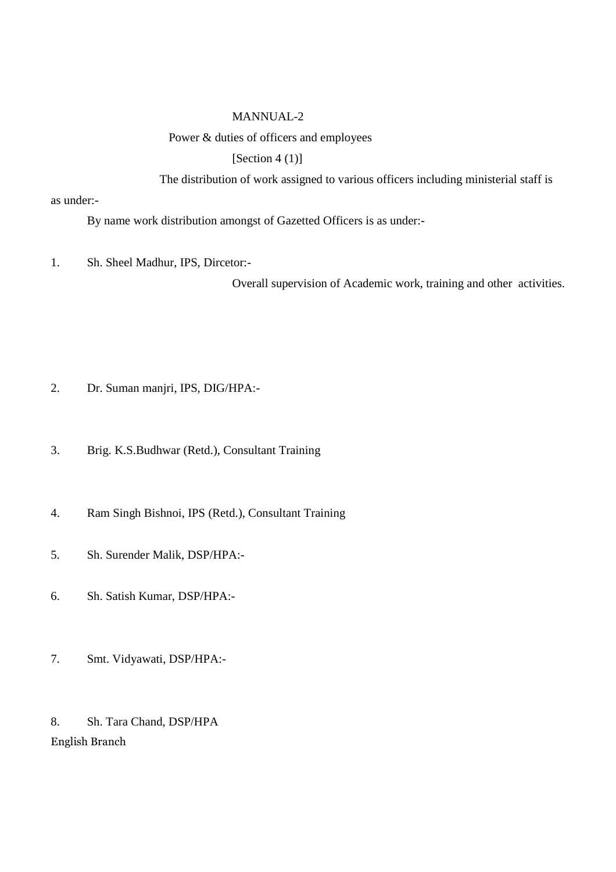### MANNUAL-2

### Power & duties of officers and employees

[Section  $4(1)$ ]

The distribution of work assigned to various officers including ministerial staff is

as under:-

By name work distribution amongst of Gazetted Officers is as under:-

1. Sh. Sheel Madhur, IPS, Dircetor:-

Overall supervision of Academic work, training and other activities.

- 2. Dr. Suman manjri, IPS, DIG/HPA:-
- 3. Brig. K.S.Budhwar (Retd.), Consultant Training
- 4. Ram Singh Bishnoi, IPS (Retd.), Consultant Training
- 5. Sh. Surender Malik, DSP/HPA:-
- 6. Sh. Satish Kumar, DSP/HPA:-
- 7. Smt. Vidyawati, DSP/HPA:-

8. Sh. Tara Chand, DSP/HPA English Branch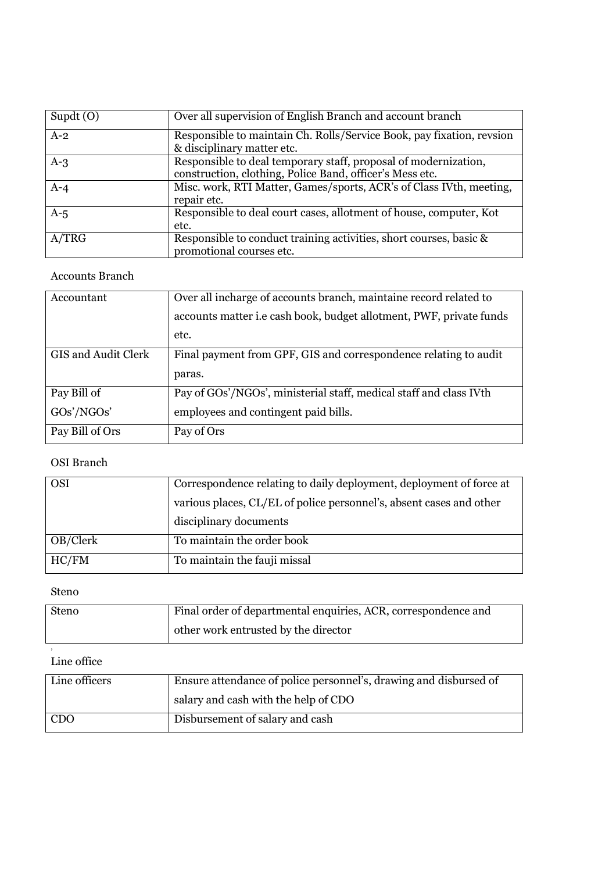| Supdt $(0)$ | Over all supervision of English Branch and account branch                                                                   |
|-------------|-----------------------------------------------------------------------------------------------------------------------------|
| $A-2$       | Responsible to maintain Ch. Rolls/Service Book, pay fixation, revsion<br>& disciplinary matter etc.                         |
| $A-3$       | Responsible to deal temporary staff, proposal of modernization,<br>construction, clothing, Police Band, officer's Mess etc. |
| $A-4$       | Misc. work, RTI Matter, Games/sports, ACR's of Class IVth, meeting,<br>repair etc.                                          |
| $A-5$       | Responsible to deal court cases, allotment of house, computer, Kot<br>etc.                                                  |
| A/TRG       | Responsible to conduct training activities, short courses, basic &<br>promotional courses etc.                              |

### Accounts Branch

| Accountant          | Over all incharge of accounts branch, maintaine record related to   |
|---------------------|---------------------------------------------------------------------|
|                     | accounts matter i.e cash book, budget allotment, PWF, private funds |
|                     | etc.                                                                |
| GIS and Audit Clerk | Final payment from GPF, GIS and correspondence relating to audit    |
|                     | paras.                                                              |
| Pay Bill of         | Pay of GOs'/NGOs', ministerial staff, medical staff and class IVth  |
| GOs'/NGOs'          | employees and contingent paid bills.                                |
| Pay Bill of Ors     | Pay of Ors                                                          |

### OSI Branch

| <b>OSI</b> | Correspondence relating to daily deployment, deployment of force at |  |  |
|------------|---------------------------------------------------------------------|--|--|
|            | various places, CL/EL of police personnel's, absent cases and other |  |  |
|            | disciplinary documents                                              |  |  |
| OB/Clerk   | To maintain the order book                                          |  |  |
| HC/FM      | To maintain the fauji missal                                        |  |  |

### Steno

,

| <b>Steno</b> | Final order of departmental enquiries, ACR, correspondence and |
|--------------|----------------------------------------------------------------|
|              | other work entrusted by the director                           |

### Line office

| Line officers<br>Ensure attendance of police personnel's, drawing and disbursed of |                                      |  |
|------------------------------------------------------------------------------------|--------------------------------------|--|
|                                                                                    | salary and cash with the help of CDO |  |
| CDO                                                                                | Disbursement of salary and cash      |  |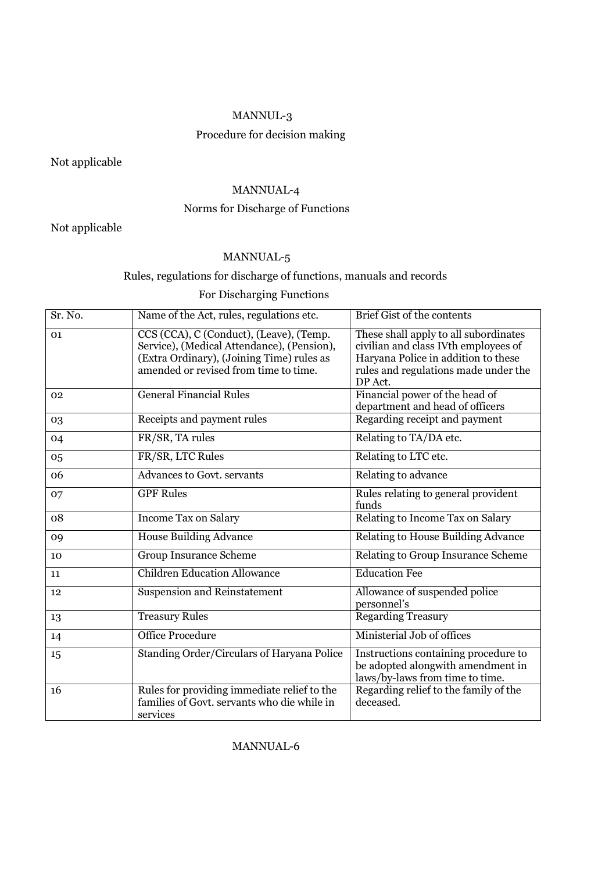### MANNUL-3

### Procedure for decision making

Not applicable

### MANNUAL-4

### Norms for Discharge of Functions

### Not applicable

### MANNUAL-5

### Rules, regulations for discharge of functions, manuals and records

### For Discharging Functions

| Sr. No.        | Name of the Act, rules, regulations etc.                                                                                                                                    | Brief Gist of the contents                                                                                                                                              |
|----------------|-----------------------------------------------------------------------------------------------------------------------------------------------------------------------------|-------------------------------------------------------------------------------------------------------------------------------------------------------------------------|
| 01             | CCS (CCA), C (Conduct), (Leave), (Temp.<br>Service), (Medical Attendance), (Pension),<br>(Extra Ordinary), (Joining Time) rules as<br>amended or revised from time to time. | These shall apply to all subordinates<br>civilian and class IVth employees of<br>Haryana Police in addition to these<br>rules and regulations made under the<br>DP Act. |
| 0 <sub>2</sub> | <b>General Financial Rules</b>                                                                                                                                              | Financial power of the head of<br>department and head of officers                                                                                                       |
| 03             | Receipts and payment rules                                                                                                                                                  | Regarding receipt and payment                                                                                                                                           |
| 04             | FR/SR, TA rules                                                                                                                                                             | Relating to TA/DA etc.                                                                                                                                                  |
| 05             | FR/SR, LTC Rules                                                                                                                                                            | Relating to LTC etc.                                                                                                                                                    |
| 06             | Advances to Govt. servants                                                                                                                                                  | Relating to advance                                                                                                                                                     |
| 07             | <b>GPF Rules</b>                                                                                                                                                            | Rules relating to general provident<br>funds                                                                                                                            |
| 08             | Income Tax on Salary                                                                                                                                                        | Relating to Income Tax on Salary                                                                                                                                        |
| 09             | <b>House Building Advance</b>                                                                                                                                               | Relating to House Building Advance                                                                                                                                      |
| 10             | <b>Group Insurance Scheme</b>                                                                                                                                               | Relating to Group Insurance Scheme                                                                                                                                      |
| 11             | <b>Children Education Allowance</b>                                                                                                                                         | <b>Education Fee</b>                                                                                                                                                    |
| 12             | <b>Suspension and Reinstatement</b>                                                                                                                                         | Allowance of suspended police<br>personnel's                                                                                                                            |
| 13             | <b>Treasury Rules</b>                                                                                                                                                       | <b>Regarding Treasury</b>                                                                                                                                               |
| 14             | <b>Office Procedure</b>                                                                                                                                                     | Ministerial Job of offices                                                                                                                                              |
| 15             | Standing Order/Circulars of Haryana Police                                                                                                                                  | Instructions containing procedure to<br>be adopted alongwith amendment in<br>laws/by-laws from time to time.                                                            |
| 16             | Rules for providing immediate relief to the<br>families of Govt. servants who die while in<br>services                                                                      | Regarding relief to the family of the<br>deceased.                                                                                                                      |

### MANNUAL-6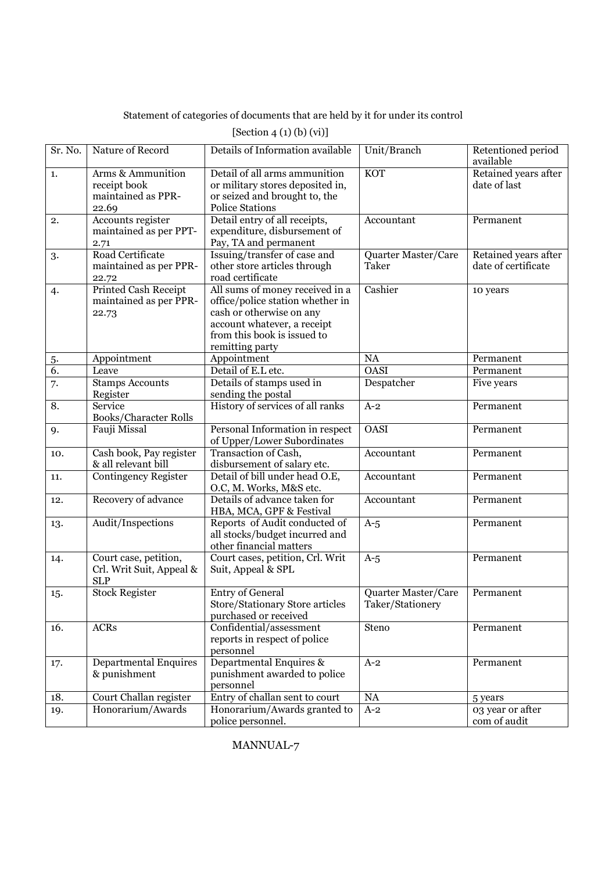Statement of categories of documents that are held by it for under its control

| Sr. No. | Nature of Record                                                 | Details of Information available                                                                                                                                                 | Unit/Branch                             | Retentioned period<br>available             |
|---------|------------------------------------------------------------------|----------------------------------------------------------------------------------------------------------------------------------------------------------------------------------|-----------------------------------------|---------------------------------------------|
| 1.      | Arms & Ammunition<br>receipt book<br>maintained as PPR-<br>22.69 | Detail of all arms ammunition<br>or military stores deposited in,<br>or seized and brought to, the<br><b>Police Stations</b>                                                     | <b>KOT</b>                              | Retained years after<br>date of last        |
| 2.      | <b>Accounts register</b><br>maintained as per PPT-<br>2.71       | Detail entry of all receipts,<br>expenditure, disbursement of<br>Pay, TA and permanent                                                                                           | Accountant                              | Permanent                                   |
| 3.      | Road Certificate<br>maintained as per PPR-<br>22.72              | Issuing/transfer of case and<br>other store articles through<br>road certificate                                                                                                 | Quarter Master/Care<br>Taker            | Retained years after<br>date of certificate |
| 4.      | <b>Printed Cash Receipt</b><br>maintained as per PPR-<br>22.73   | All sums of money received in a<br>office/police station whether in<br>cash or otherwise on any<br>account whatever, a receipt<br>from this book is issued to<br>remitting party | Cashier                                 | 10 years                                    |
| 5.      | Appointment                                                      | Appointment                                                                                                                                                                      | <b>NA</b>                               | Permanent                                   |
| 6.      | Leave                                                            | Detail of E.L etc.                                                                                                                                                               | <b>OASI</b>                             | Permanent                                   |
| 7.      | <b>Stamps Accounts</b><br>Register                               | Details of stamps used in<br>sending the postal                                                                                                                                  | Despatcher                              | Five years                                  |
| 8.      | Service<br>Books/Character Rolls                                 | History of services of all ranks                                                                                                                                                 | $A-2$                                   | Permanent                                   |
| 9.      | Fauji Missal                                                     | Personal Information in respect<br>of Upper/Lower Subordinates                                                                                                                   | <b>OASI</b>                             | Permanent                                   |
| 10.     | Cash book, Pay register<br>& all relevant bill                   | Transaction of Cash,<br>disbursement of salary etc.                                                                                                                              | Accountant                              | Permanent                                   |
| 11.     | <b>Contingency Register</b>                                      | Detail of bill under head O.E,<br>O.C, M. Works, M&S etc.                                                                                                                        | Accountant                              | Permanent                                   |
| 12.     | Recovery of advance                                              | Details of advance taken for<br>HBA, MCA, GPF & Festival                                                                                                                         | Accountant                              | Permanent                                   |
| 13.     | Audit/Inspections                                                | Reports of Audit conducted of<br>all stocks/budget incurred and<br>other financial matters                                                                                       | $A-5$                                   | Permanent                                   |
| 14.     | Court case, petition,<br>Crl. Writ Suit, Appeal &<br><b>SLP</b>  | Court cases, petition, Crl. Writ<br>Suit, Appeal & SPL                                                                                                                           | $A-5$                                   | Permanent                                   |
| 15.     | <b>Stock Register</b>                                            | <b>Entry of General</b><br>Store/Stationary Store articles<br>purchased or received                                                                                              | Quarter Master/Care<br>Taker/Stationery | Permanent                                   |
| 16.     | <b>ACRs</b>                                                      | Confidential/assessment<br>reports in respect of police<br>personnel                                                                                                             | Steno                                   | Permanent                                   |
| 17.     | <b>Departmental Enquires</b><br>& punishment                     | Departmental Enquires &<br>punishment awarded to police<br>personnel                                                                                                             | $A-2$                                   | Permanent                                   |
| 18.     | Court Challan register                                           | Entry of challan sent to court                                                                                                                                                   | $\rm NA$                                | 5 years                                     |
| 19.     | Honorarium/Awards                                                | Honorarium/Awards granted to<br>police personnel.                                                                                                                                | $A-2$                                   | 03 year or after<br>com of audit            |

### [Section 4 (1) (b) (vi)]

MANNUAL-7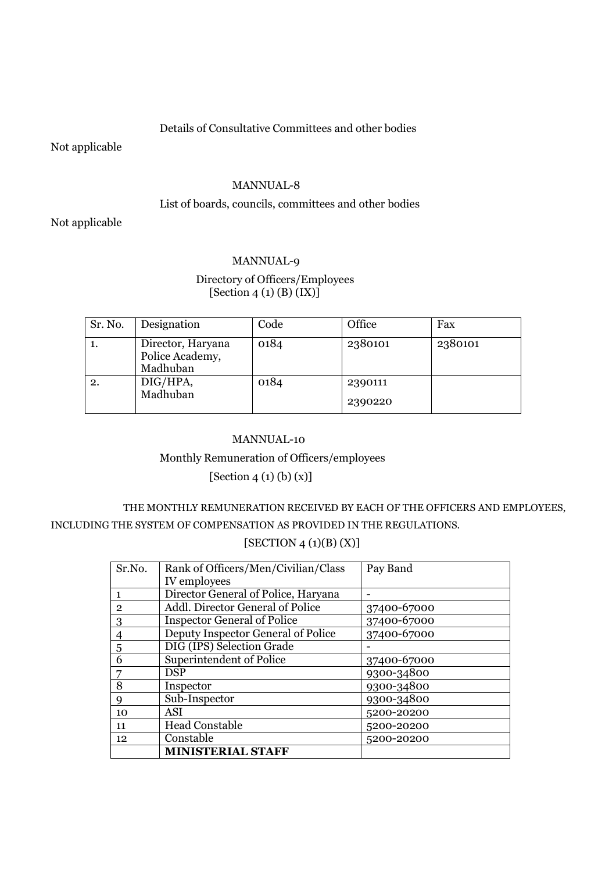### Details of Consultative Committees and other bodies

Not applicable

#### MANNUAL-8

### List of boards, councils, committees and other bodies

Not applicable

### MANNUAL-9

### Directory of Officers/Employees  $[Section 4 (1) (B) (IX)]$

| Sr. No.        | Designation                                      | Code | Office             | Fax     |
|----------------|--------------------------------------------------|------|--------------------|---------|
| $\mathbf{I}$ . | Director, Haryana<br>Police Academy,<br>Madhuban | 0184 | 2380101            | 2380101 |
|                | DIG/HPA,<br>Madhuban                             | 0184 | 2390111<br>2390220 |         |

### MANNUAL-10

### Monthly Remuneration of Officers/employees

[Section 4 (1) (b) (x)]

# THE MONTHLY REMUNERATION RECEIVED BY EACH OF THE OFFICERS AND EMPLOYEES, INCLUDING THE SYSTEM OF COMPENSATION AS PROVIDED IN THE REGULATIONS.

### $[SECTION 4 (1)(B) (X)]$

| Sr.No.       | Rank of Officers/Men/Civilian/Class | Pay Band    |
|--------------|-------------------------------------|-------------|
|              | IV employees                        |             |
| 1            | Director General of Police, Haryana |             |
| $\mathbf{2}$ | Addl. Director General of Police    | 37400-67000 |
| 3            | <b>Inspector General of Police</b>  | 37400-67000 |
| 4            | Deputy Inspector General of Police  | 37400-67000 |
| 5            | DIG (IPS) Selection Grade           |             |
| 6            | Superintendent of Police            | 37400-67000 |
|              | <b>DSP</b>                          | 9300-34800  |
| 8            | Inspector                           | 9300-34800  |
| q            | Sub-Inspector                       | 9300-34800  |
| 10           | ASI                                 | 5200-20200  |
| 11           | <b>Head Constable</b>               | 5200-20200  |
| 12           | Constable                           | 5200-20200  |
|              | <b>MINISTERIAL STAFF</b>            |             |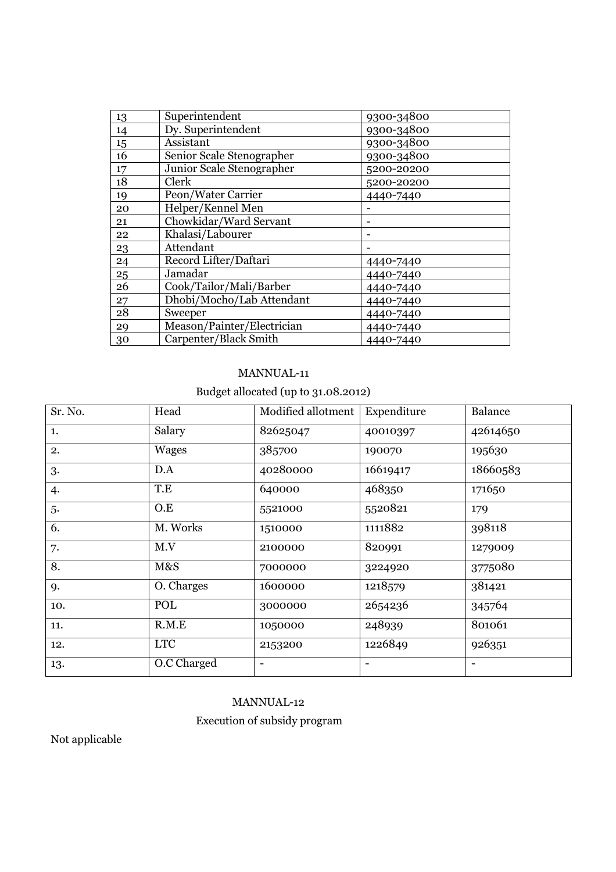| 13 | Superintendent             | 9300-34800 |
|----|----------------------------|------------|
| 14 | Dy. Superintendent         | 9300-34800 |
| 15 | Assistant                  | 9300-34800 |
| 16 | Senior Scale Stenographer  | 9300-34800 |
| 17 | Junior Scale Stenographer  | 5200-20200 |
| 18 | Clerk                      | 5200-20200 |
| 19 | Peon/Water Carrier         | 4440-7440  |
| 20 | Helper/Kennel Men          |            |
| 21 | Chowkidar/Ward Servant     |            |
| 22 | Khalasi/Labourer           |            |
| 23 | Attendant                  |            |
| 24 | Record Lifter/Daftari      | 4440-7440  |
| 25 | Jamadar                    | 4440-7440  |
| 26 | Cook/Tailor/Mali/Barber    | 4440-7440  |
| 27 | Dhobi/Mocho/Lab Attendant  | 4440-7440  |
| 28 | Sweeper                    | 4440-7440  |
| 29 | Meason/Painter/Electrician | 4440-7440  |
| 30 | Carpenter/Black Smith      | 4440-7440  |

### MANNUAL-11

### Budget allocated (up to 31.08.2012)

| Sr. No. | Head         | Modified allotment | Expenditure | Balance  |
|---------|--------------|--------------------|-------------|----------|
| 1.      | Salary       | 82625047           | 40010397    | 42614650 |
| 2.      | <b>Wages</b> | 385700             | 190070      | 195630   |
| 3.      | D.A          | 40280000           | 16619417    | 18660583 |
| 4.      | T.E          | 640000             | 468350      | 171650   |
| 5.      | O.E          | 5521000            | 5520821     | 179      |
| 6.      | M. Works     | 1510000            | 1111882     | 398118   |
| 7.      | M.V          | 2100000            | 820991      | 1279009  |
| 8.      | M&S          | 7000000            | 3224920     | 3775080  |
| 9.      | O. Charges   | 1600000            | 1218579     | 381421   |
| 10.     | POL          | 3000000            | 2654236     | 345764   |
| 11.     | R.M.E        | 1050000            | 248939      | 801061   |
| 12.     | <b>LTC</b>   | 2153200            | 1226849     | 926351   |
| 13.     | O.C Charged  |                    |             |          |

# MANNUAL-12

### Execution of subsidy program

Not applicable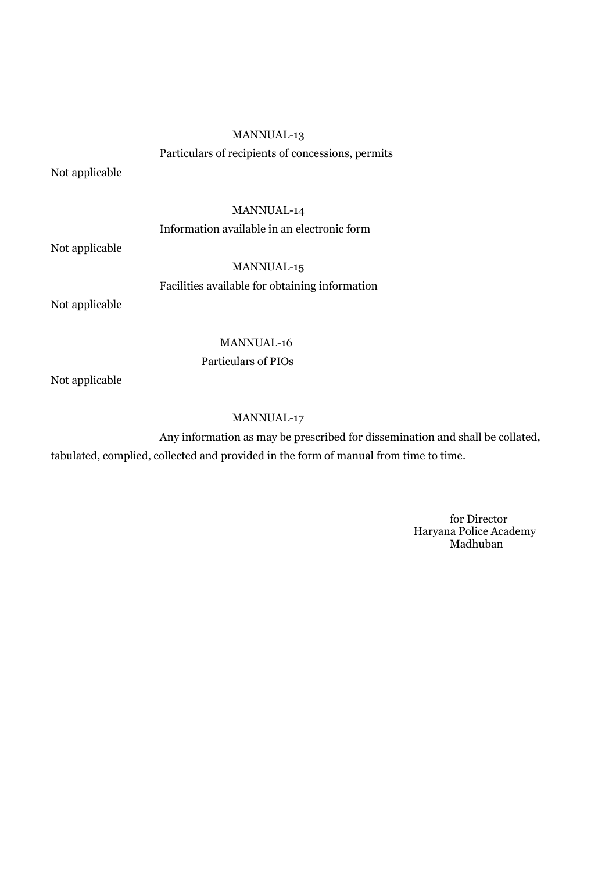### MANNUAL-13

Particulars of recipients of concessions, permits

Not applicable

## MANNUAL-14

### Information available in an electronic form

Not applicable

MANNUAL-15 Facilities available for obtaining information

Not applicable

### MANNUAL-16

Particulars of PIOs

Not applicable

### MANNUAL-17

 Any information as may be prescribed for dissemination and shall be collated, tabulated, complied, collected and provided in the form of manual from time to time.

> for Director Haryana Police Academy Madhuban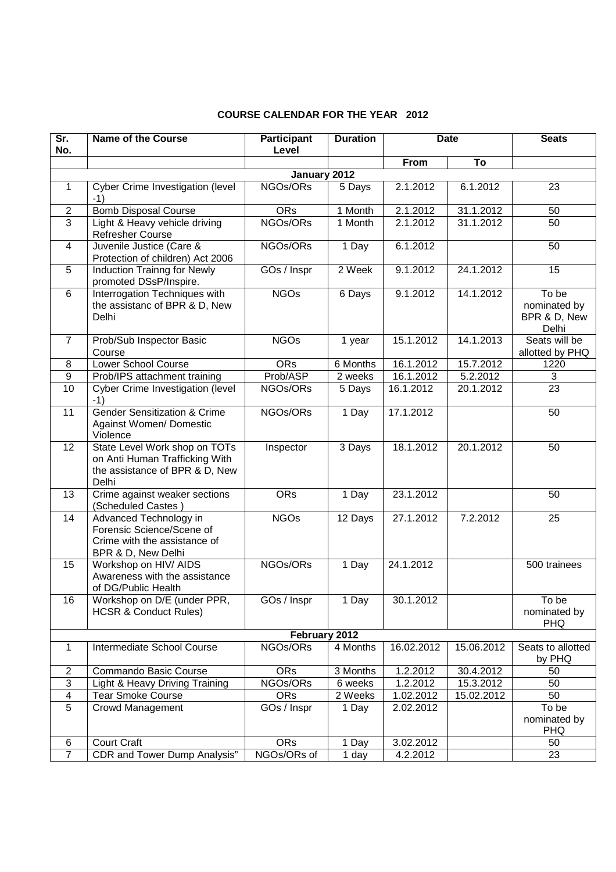| Sr.<br>No.              | <b>Name of the Course</b>                                                                                  | <b>Participant</b><br>Level | <b>Duration</b> |            | <b>Date</b> | <b>Seats</b>                                   |
|-------------------------|------------------------------------------------------------------------------------------------------------|-----------------------------|-----------------|------------|-------------|------------------------------------------------|
|                         |                                                                                                            |                             |                 | From       | To          |                                                |
|                         |                                                                                                            | January 2012                |                 |            |             |                                                |
| $\mathbf{1}$            | Cyber Crime Investigation (level<br>$-1)$                                                                  | NGOs/ORs                    | 5 Days          | 2.1.2012   | 6.1.2012    | 23                                             |
| $\overline{2}$          | <b>Bomb Disposal Course</b>                                                                                | <b>ORs</b>                  | 1 Month         | 2.1.2012   | 31.1.2012   | 50                                             |
| 3                       | Light & Heavy vehicle driving<br>Refresher Course                                                          | NGOs/ORs                    | 1 Month         | 2.1.2012   | 31.1.2012   | 50                                             |
| 4                       | Juvenile Justice (Care &<br>Protection of children) Act 2006                                               | NGOs/ORs                    | 1 Day           | 6.1.2012   |             | 50                                             |
| 5                       | Induction Trainng for Newly<br>promoted DSsP/Inspire.                                                      | GOs / Inspr                 | 2 Week          | 9.1.2012   | 24.1.2012   | 15                                             |
| 6                       | Interrogation Techniques with<br>the assistanc of BPR & D, New<br>Delhi                                    | <b>NGOs</b>                 | 6 Days          | 9.1.2012   | 14.1.2012   | To be<br>nominated by<br>BPR & D, New<br>Delhi |
| $\overline{7}$          | Prob/Sub Inspector Basic<br>Course                                                                         | <b>NGOs</b>                 | 1 year          | 15.1.2012  | 14.1.2013   | Seats will be<br>allotted by PHQ               |
| 8                       | <b>Lower School Course</b>                                                                                 | <b>ORs</b>                  | 6 Months        | 16.1.2012  | 15.7.2012   | 1220                                           |
| 9                       | Prob/IPS attachment training                                                                               | Prob/ASP                    | 2 weeks         | 16.1.2012  | 5.2.2012    | 3                                              |
| 10                      | Cyber Crime Investigation (level<br>$-1)$                                                                  | NGOs/ORs                    | 5 Days          | 16.1.2012  | 20.1.2012   | 23                                             |
| 11                      | <b>Gender Sensitization &amp; Crime</b><br>Against Women/ Domestic<br>Violence                             | NGOs/ORs                    | 1 Day           | 17.1.2012  |             | 50                                             |
| 12                      | State Level Work shop on TOTs<br>on Anti Human Trafficking With<br>the assistance of BPR & D, New<br>Delhi | Inspector                   | 3 Days          | 18.1.2012  | 20.1.2012   | 50                                             |
| 13                      | Crime against weaker sections<br>(Scheduled Castes)                                                        | <b>ORs</b>                  | 1 Day           | 23.1.2012  |             | 50                                             |
| 14                      | Advanced Technology in<br>Forensic Science/Scene of<br>Crime with the assistance of<br>BPR & D, New Delhi  | <b>NGOs</b>                 | 12 Days         | 27.1.2012  | 7.2.2012    | 25                                             |
| 15                      | Workshop on HIV/ AIDS<br>Awareness with the assistance<br>of DG/Public Health                              | NGOs/ORs                    | 1 Day           | 24.1.2012  |             | 500 trainees                                   |
| 16                      | Workshop on D/E (under PPR,<br><b>HCSR &amp; Conduct Rules)</b>                                            | GOs / Inspr                 | 1 Day           | 30.1.2012  |             | To be<br>nominated by<br><b>PHQ</b>            |
|                         |                                                                                                            | February 2012               |                 |            |             |                                                |
| $\mathbf{1}$            | Intermediate School Course                                                                                 | NGOs/ORs                    | 4 Months        | 16.02.2012 | 15.06.2012  | Seats to allotted<br>by PHQ                    |
| $\overline{2}$          | Commando Basic Course                                                                                      | <b>ORs</b>                  | 3 Months        | 1.2.2012   | 30.4.2012   | 50                                             |
| $\overline{3}$          | Light & Heavy Driving Training                                                                             | NGOs/ORs                    | 6 weeks         | 1.2.2012   | 15.3.2012   | 50                                             |
| $\overline{\mathbf{4}}$ | <b>Tear Smoke Course</b>                                                                                   | <b>ORs</b>                  | 2 Weeks         | 1.02.2012  | 15.02.2012  | 50                                             |
| 5                       | Crowd Management                                                                                           | GOs / Inspr                 | 1 Day           | 2.02.2012  |             | To be<br>nominated by<br><b>PHQ</b>            |
| 6                       | <b>Court Craft</b>                                                                                         | <b>ORs</b>                  | 1 Day           | 3.02.2012  |             | 50                                             |
| $\overline{7}$          | CDR and Tower Dump Analysis"                                                                               | NGOs/ORs of                 | 1 day           | 4.2.2012   |             | 23                                             |

### **COURSE CALENDAR FOR THE YEAR 2012**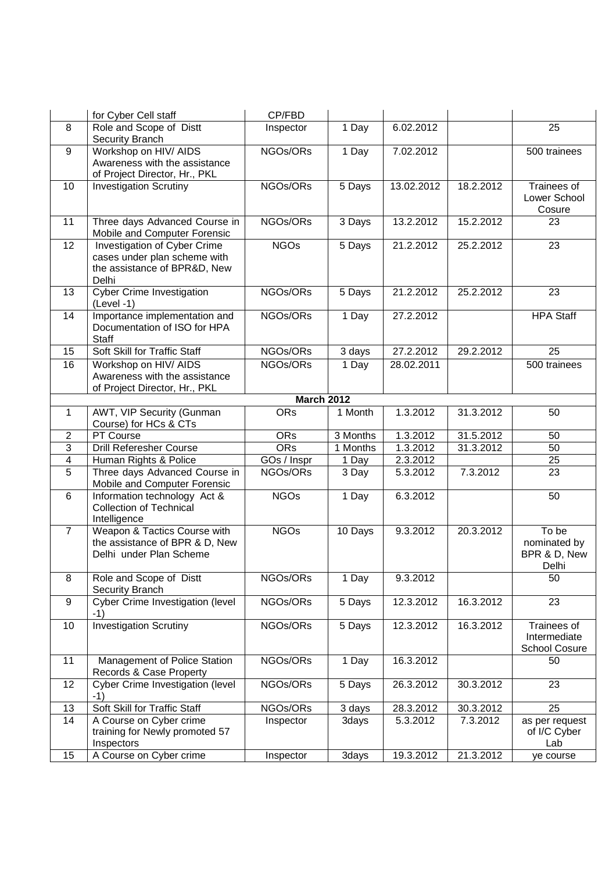|                         | for Cyber Cell staff                                                                                  | CP/FBD            |          |            |           |                                                |
|-------------------------|-------------------------------------------------------------------------------------------------------|-------------------|----------|------------|-----------|------------------------------------------------|
| 8                       | Role and Scope of Distt<br>Security Branch                                                            | Inspector         | 1 Day    | 6.02.2012  |           | 25                                             |
| 9                       | Workshop on HIV/ AIDS<br>Awareness with the assistance<br>of Project Director, Hr., PKL               | NGOs/ORs          | 1 Day    | 7.02.2012  |           | 500 trainees                                   |
| 10                      | <b>Investigation Scrutiny</b>                                                                         | NGOs/ORs          | 5 Days   | 13.02.2012 | 18.2.2012 | Trainees of<br>Lower School<br>Cosure          |
| 11                      | Three days Advanced Course in<br>Mobile and Computer Forensic                                         | NGOs/ORs          | 3 Days   | 13.2.2012  | 15.2.2012 | 23                                             |
| $\overline{12}$         | Investigation of Cyber Crime<br>cases under plan scheme with<br>the assistance of BPR&D, New<br>Delhi | <b>NGOs</b>       | 5 Days   | 21.2.2012  | 25.2.2012 | 23                                             |
| 13                      | <b>Cyber Crime Investigation</b><br>$(Level - 1)$                                                     | NGOs/ORs          | 5 Days   | 21.2.2012  | 25.2.2012 | 23                                             |
| 14                      | Importance implementation and<br>Documentation of ISO for HPA<br>Staff                                | NGOs/ORs          | 1 Day    | 27.2.2012  |           | <b>HPA Staff</b>                               |
| 15                      | Soft Skill for Traffic Staff                                                                          | NGOs/ORs          | 3 days   | 27.2.2012  | 29.2.2012 | 25                                             |
| 16                      | Workshop on HIV/ AIDS<br>Awareness with the assistance<br>of Project Director, Hr., PKL               | NGOs/ORs          | 1 Day    | 28.02.2011 |           | 500 trainees                                   |
|                         |                                                                                                       | <b>March 2012</b> |          |            |           |                                                |
| $\mathbf{1}$            | AWT, VIP Security (Gunman<br>Course) for HCs & CTs                                                    | <b>ORs</b>        | 1 Month  | 1.3.2012   | 31.3.2012 | 50                                             |
| $\overline{2}$          | PT Course                                                                                             | <b>ORs</b>        | 3 Months | 1.3.2012   | 31.5.2012 | 50                                             |
| $\overline{3}$          | <b>Drill Referesher Course</b>                                                                        | <b>ORs</b>        | 1 Months | 1.3.2012   | 31.3.2012 | 50                                             |
| $\overline{\mathbf{4}}$ | Human Rights & Police                                                                                 | GOs / Inspr       | 1 Day    | 2.3.2012   |           | 25                                             |
| 5                       | Three days Advanced Course in<br>Mobile and Computer Forensic                                         | NGOs/ORs          | 3 Day    | 5.3.2012   | 7.3.2012  | 23                                             |
| 6                       | Information technology Act &<br><b>Collection of Technical</b><br>Intelligence                        | <b>NGOs</b>       | 1 Day    | 6.3.2012   |           | 50                                             |
| $\overline{7}$          | Weapon & Tactics Course with<br>the assistance of BPR & D, New<br>Delhi under Plan Scheme             | <b>NGOs</b>       | 10 Days  | 9.3.2012   | 20.3.2012 | To be<br>nominated by<br>BPR & D, New<br>Delhi |
| 8                       | Role and Scope of Distt<br>Security Branch                                                            | NGOs/ORs          | 1 Day    | 9.3.2012   |           | 50                                             |
| 9                       | <b>Cyber Crime Investigation (level)</b><br>$-1)$                                                     | NGOs/ORs          | 5 Days   | 12.3.2012  | 16.3.2012 | 23                                             |
| 10                      | <b>Investigation Scrutiny</b>                                                                         | NGOs/ORs          | 5 Days   | 12.3.2012  | 16.3.2012 | Trainees of<br>Intermediate<br>School Cosure   |
| 11                      | Management of Police Station<br>Records & Case Property                                               | NGOs/ORs          | 1 Day    | 16.3.2012  |           | 50                                             |
| 12                      | Cyber Crime Investigation (level<br>$-1)$                                                             | NGOs/ORs          | 5 Days   | 26.3.2012  | 30.3.2012 | 23                                             |
| 13                      | Soft Skill for Traffic Staff                                                                          | NGOs/ORs          | 3 days   | 28.3.2012  | 30.3.2012 | 25                                             |
| 14                      | A Course on Cyber crime<br>training for Newly promoted 57<br>Inspectors                               | Inspector         | 3days    | 5.3.2012   | 7.3.2012  | as per request<br>of I/C Cyber<br>Lab          |
| 15                      | A Course on Cyber crime                                                                               | Inspector         | 3days    | 19.3.2012  | 21.3.2012 | ye course                                      |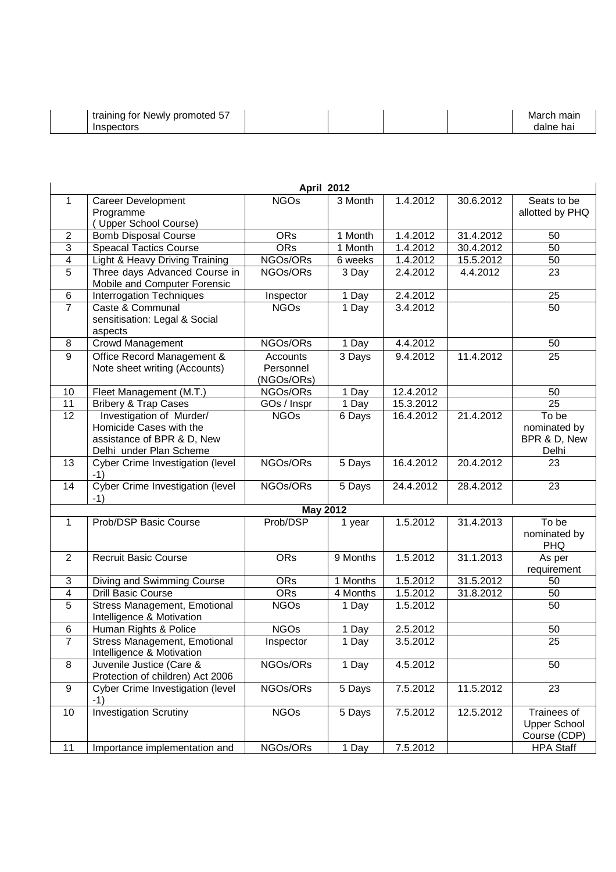|                     |                                                           | <b>April 2012</b>      |                    |           |           |                     |
|---------------------|-----------------------------------------------------------|------------------------|--------------------|-----------|-----------|---------------------|
| 1                   | <b>Career Development</b>                                 | <b>NGOs</b>            | 3 Month            | 1.4.2012  | 30.6.2012 | Seats to be         |
|                     | Programme                                                 |                        |                    |           |           | allotted by PHQ     |
| $\overline{2}$      | (Upper School Course)<br><b>Bomb Disposal Course</b>      | <b>ORs</b>             | 1 Month            | 1.4.2012  | 31.4.2012 | 50                  |
| 3                   | <b>Speacal Tactics Course</b>                             | <b>ORs</b>             | 1 Month            | 1.4.2012  | 30.4.2012 | 50                  |
| 4                   | Light & Heavy Driving Training                            | NGOs/ORs               | 6 weeks            | 1.4.2012  | 15.5.2012 | 50                  |
| 5                   | Three days Advanced Course in                             | NGOs/ORs               | 3 Day              | 2.4.2012  | 4.4.2012  | 23                  |
|                     | Mobile and Computer Forensic                              |                        |                    |           |           |                     |
| 6                   | Interrogation Techniques                                  | Inspector              | 1 Day              | 2.4.2012  |           | 25                  |
| $\overline{7}$      | Caste & Communal                                          | <b>NGOs</b>            | 1 Day              | 3.4.2012  |           | 50                  |
|                     | sensitisation: Legal & Social                             |                        |                    |           |           |                     |
|                     | aspects                                                   |                        |                    |           |           |                     |
| 8                   | <b>Crowd Management</b>                                   | NGOs/ORs               | 1 Day              | 4.4.2012  |           | 50                  |
| $\boldsymbol{9}$    | Office Record Management &                                | Accounts               | 3 Days             | 9.4.2012  | 11.4.2012 | 25                  |
|                     | Note sheet writing (Accounts)                             | Personnel              |                    |           |           |                     |
| 10                  | Fleet Management (M.T.)                                   | (NGOs/ORs)<br>NGOs/ORs | 1 Day              | 12.4.2012 |           | 50                  |
| 11                  | Bribery & Trap Cases                                      | GOs / Inspr            | 1 Day              | 15.3.2012 |           | 25                  |
| $\overline{12}$     | Investigation of Murder/                                  | <b>NGOs</b>            | 6 Days             | 16.4.2012 | 21.4.2012 | To be               |
|                     | Homicide Cases with the                                   |                        |                    |           |           | nominated by        |
|                     | assistance of BPR & D, New                                |                        |                    |           |           | BPR & D, New        |
|                     | Delhi under Plan Scheme                                   |                        |                    |           |           | Delhi               |
| 13                  | Cyber Crime Investigation (level                          | NGOs/ORs               | 5 Days             | 16.4.2012 | 20.4.2012 | 23                  |
|                     | $-1)$                                                     |                        |                    |           |           |                     |
| 14                  | Cyber Crime Investigation (level                          | NGOs/ORs               | 5 Days             | 24.4.2012 | 28.4.2012 | 23                  |
|                     | $-1)$                                                     | <b>May 2012</b>        |                    |           |           |                     |
| $\mathbf{1}$        | Prob/DSP Basic Course                                     | Prob/DSP               | 1 year             | 1.5.2012  | 31.4.2013 | To be               |
|                     |                                                           |                        |                    |           |           | nominated by        |
|                     |                                                           |                        |                    |           |           | <b>PHQ</b>          |
| $\overline{2}$      | <b>Recruit Basic Course</b>                               | <b>ORs</b>             | 9 Months           | 1.5.2012  | 31.1.2013 | As per              |
|                     |                                                           |                        |                    |           |           | requirement         |
| 3                   | Diving and Swimming Course                                | <b>ORs</b>             | 1 Months           | 1.5.2012  | 31.5.2012 | 50                  |
| $\overline{4}$      | <b>Drill Basic Course</b>                                 | <b>ORs</b>             | 4 Months           | 1.5.2012  | 31.8.2012 | 50                  |
| $\overline{5}$      | Stress Management, Emotional                              | <b>NGOs</b>            | 1 Day              | 1.5.2012  |           | $\overline{50}$     |
|                     | Intelligence & Motivation                                 |                        |                    |           |           |                     |
| 6<br>$\overline{7}$ | Human Rights & Police                                     | <b>NGOs</b>            | 1 Day              | 2.5.2012  |           | 50                  |
|                     | Stress Management, Emotional<br>Intelligence & Motivation | Inspector              | $\overline{1}$ Day | 3.5.2012  |           | 25                  |
| 8                   | Juvenile Justice (Care &                                  | NGOs/ORs               | 1 Day              | 4.5.2012  |           | 50                  |
|                     | Protection of children) Act 2006                          |                        |                    |           |           |                     |
| 9                   | Cyber Crime Investigation (level<br>-1)                   | NGOs/ORs               | 5 Days             | 7.5.2012  | 11.5.2012 | 23                  |
| 10                  | <b>Investigation Scrutiny</b>                             | <b>NGOs</b>            | 5 Days             | 7.5.2012  | 12.5.2012 | Trainees of         |
|                     |                                                           |                        |                    |           |           | <b>Upper School</b> |
|                     |                                                           |                        |                    |           |           | Course (CDP)        |
| 11                  | Importance implementation and                             | NGOs/ORs               | 1 Day              | 7.5.2012  |           | <b>HPA Staff</b>    |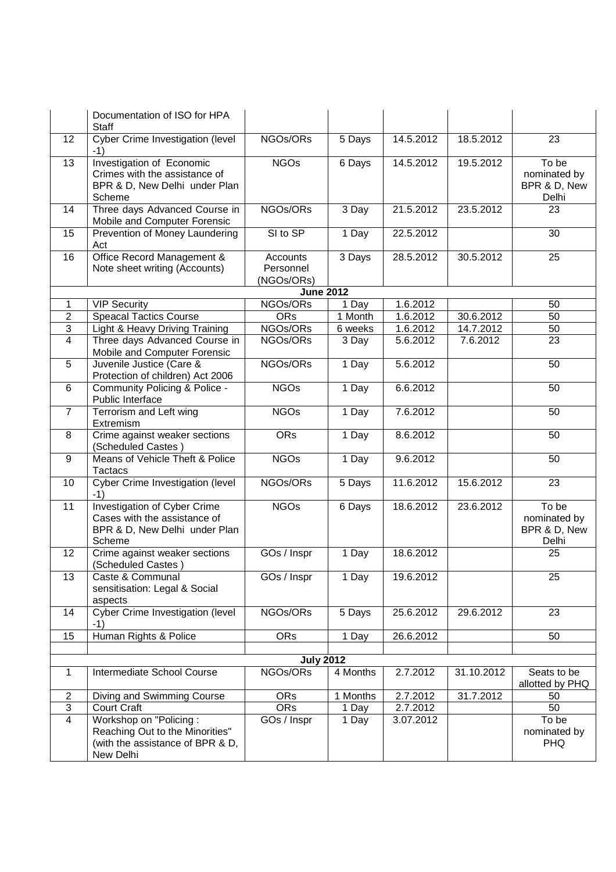|                | Documentation of ISO for HPA<br>Staff                                                                          |                                     |          |           |            |                                                |
|----------------|----------------------------------------------------------------------------------------------------------------|-------------------------------------|----------|-----------|------------|------------------------------------------------|
| 12             | <b>Cyber Crime Investigation (level</b><br>-1)                                                                 | NGOs/ORs                            | 5 Days   | 14.5.2012 | 18.5.2012  | 23                                             |
| 13             | <b>Investigation of Economic</b><br>Crimes with the assistance of<br>BPR & D, New Delhi under Plan<br>Scheme   | <b>NGOs</b>                         | 6 Days   | 14.5.2012 | 19.5.2012  | To be<br>nominated by<br>BPR & D, New<br>Delhi |
| 14             | Three days Advanced Course in<br>Mobile and Computer Forensic                                                  | NGOs/ORs                            | 3 Day    | 21.5.2012 | 23.5.2012  | 23                                             |
| 15             | Prevention of Money Laundering<br>Act                                                                          | SI to SP                            | 1 Day    | 22.5.2012 |            | 30                                             |
| 16             | Office Record Management &<br>Note sheet writing (Accounts)                                                    | Accounts<br>Personnel<br>(NGOs/ORs) | 3 Days   | 28.5.2012 | 30.5.2012  | 25                                             |
|                |                                                                                                                | <b>June 2012</b>                    |          |           |            |                                                |
| $\mathbf 1$    | <b>VIP Security</b>                                                                                            | NGOs/ORs                            | 1 Day    | 1.6.2012  |            | 50                                             |
| $\overline{2}$ | <b>Speacal Tactics Course</b>                                                                                  | ORs                                 | 1 Month  | 1.6.2012  | 30.6.2012  | $\overline{50}$                                |
| 3              | Light & Heavy Driving Training                                                                                 | NGOs/ORs                            | 6 weeks  | 1.6.2012  | 14.7.2012  | 50                                             |
| $\overline{4}$ | Three days Advanced Course in<br>Mobile and Computer Forensic                                                  | NGOs/ORs                            | 3 Day    | 5.6.2012  | 7.6.2012   | $\overline{23}$                                |
| 5              | Juvenile Justice (Care &<br>Protection of children) Act 2006                                                   | NGOs/ORs                            | 1 Day    | 5.6.2012  |            | 50                                             |
| 6              | Community Policing & Police -<br>Public Interface                                                              | <b>NGOs</b>                         | 1 Day    | 6.6.2012  |            | 50                                             |
| 7              | Terrorism and Left wing<br>Extremism                                                                           | <b>NGOs</b>                         | 1 Day    | 7.6.2012  |            | 50                                             |
| 8              | Crime against weaker sections<br>(Scheduled Castes)                                                            | <b>ORs</b>                          | 1 Day    | 8.6.2012  |            | 50                                             |
| 9              | Means of Vehicle Theft & Police<br><b>Tactacs</b>                                                              | <b>NGOs</b>                         | 1 Day    | 9.6.2012  |            | 50                                             |
| 10             | Cyber Crime Investigation (level<br>$-1)$                                                                      | NGOs/ORs                            | 5 Days   | 11.6.2012 | 15.6.2012  | 23                                             |
| 11             | <b>Investigation of Cyber Crime</b><br>Cases with the assistance of<br>BPR & D, New Delhi under Plan<br>Scheme | <b>NGOs</b>                         | 6 Days   | 18.6.2012 | 23.6.2012  | To be<br>nominated by<br>BPR & D, New<br>Delhi |
| 12             | Crime against weaker sections<br>(Scheduled Castes)                                                            | GOs / Inspr                         | 1 Day    | 18.6.2012 |            | 25                                             |
| 13             | Caste & Communal<br>sensitisation: Legal & Social<br>aspects                                                   | GOs / Inspr                         | 1 Day    | 19.6.2012 |            | 25                                             |
| 14             | Cyber Crime Investigation (level<br>$-1)$                                                                      | NGOs/ORs                            | 5 Days   | 25.6.2012 | 29.6.2012  | 23                                             |
| 15             | Human Rights & Police                                                                                          | <b>ORs</b>                          | 1 Day    | 26.6.2012 |            | 50                                             |
|                |                                                                                                                |                                     |          |           |            |                                                |
|                |                                                                                                                | <b>July 2012</b>                    |          |           |            |                                                |
| $\mathbf{1}$   | Intermediate School Course                                                                                     | NGOs/ORs                            | 4 Months | 2.7.2012  | 31.10.2012 | Seats to be<br>allotted by PHQ                 |
| $\overline{2}$ | Diving and Swimming Course                                                                                     | <b>ORs</b>                          | 1 Months | 2.7.2012  | 31.7.2012  | 50                                             |
| 3              | Court Craft                                                                                                    | <b>ORs</b>                          | 1 Day    | 2.7.2012  |            | 50                                             |
| $\overline{4}$ | Workshop on "Policing:                                                                                         | GOs / Inspr                         | 1 Day    | 3.07.2012 |            | To be                                          |
|                | Reaching Out to the Minorities"                                                                                |                                     |          |           |            | nominated by                                   |
|                | (with the assistance of BPR & D,<br>New Delhi                                                                  |                                     |          |           |            | <b>PHQ</b>                                     |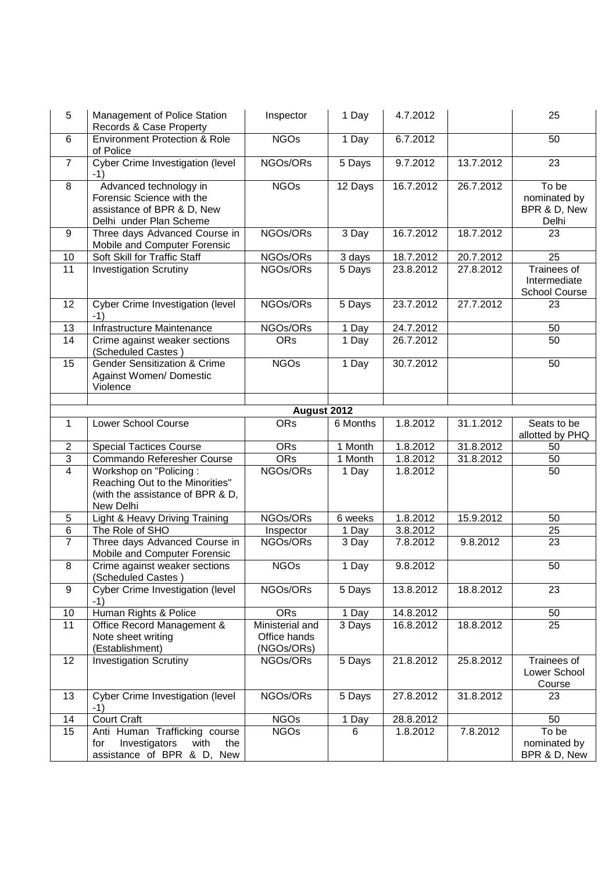| 5               | Management of Police Station<br>Records & Case Property                                                      | Inspector                                     | 1 Day    | 4.7.2012  |           | 25                                             |
|-----------------|--------------------------------------------------------------------------------------------------------------|-----------------------------------------------|----------|-----------|-----------|------------------------------------------------|
| 6               | <b>Environment Protection &amp; Role</b><br>of Police                                                        | <b>NGOs</b>                                   | 1 Day    | 6.7.2012  |           | 50                                             |
| $\overline{7}$  | <b>Cyber Crime Investigation (level)</b><br>$-1)$                                                            | NGOs/ORs                                      | 5 Days   | 9.7.2012  | 13.7.2012 | $\overline{23}$                                |
| 8               | Advanced technology in<br>Forensic Science with the<br>assistance of BPR & D, New<br>Delhi under Plan Scheme | <b>NGOs</b>                                   | 12 Days  | 16.7.2012 | 26.7.2012 | To be<br>nominated by<br>BPR & D, New<br>Delhi |
| 9               | Three days Advanced Course in<br>Mobile and Computer Forensic                                                | NGOs/ORs                                      | 3 Day    | 16.7.2012 | 18.7.2012 | 23                                             |
| 10              | Soft Skill for Traffic Staff                                                                                 | NGOs/ORs                                      | 3 days   | 18.7.2012 | 20.7.2012 | 25                                             |
| $\overline{11}$ | <b>Investigation Scrutiny</b>                                                                                | NGOs/ORs                                      | 5 Days   | 23.8.2012 | 27.8.2012 | Trainees of<br>Intermediate<br>School Course   |
| 12              | Cyber Crime Investigation (level<br>$-1)$                                                                    | NGOs/ORs                                      | 5 Days   | 23.7.2012 | 27.7.2012 | 23                                             |
| 13              | Infrastructure Maintenance                                                                                   | NGOs/ORs                                      | $1$ Day  | 24.7.2012 |           | 50                                             |
| 14              | Crime against weaker sections<br>(Scheduled Castes)                                                          | <b>ORs</b>                                    | 1 Day    | 26.7.2012 |           | 50                                             |
| 15              | <b>Gender Sensitization &amp; Crime</b><br>Against Women/ Domestic<br>Violence                               | <b>NGOs</b>                                   | 1 Day    | 30.7.2012 |           | 50                                             |
|                 |                                                                                                              | August 2012                                   |          |           |           |                                                |
| $\mathbf{1}$    | Lower School Course                                                                                          | <b>ORs</b>                                    | 6 Months | 1.8.2012  | 31.1.2012 | Seats to be<br>allotted by PHQ                 |
| $\overline{c}$  | <b>Special Tactices Course</b>                                                                               | <b>ORs</b>                                    | 1 Month  | 1.8.2012  | 31.8.2012 | 50                                             |
| 3               | Commando Referesher Course                                                                                   | <b>ORs</b>                                    | 1 Month  | 1.8.2012  | 31.8.2012 | 50                                             |
| $\overline{4}$  | Workshop on "Policing:<br>Reaching Out to the Minorities"<br>(with the assistance of BPR & D,<br>New Delhi   | NGOs/ORs                                      | 1 Day    | 1.8.2012  |           | 50                                             |
| 5               | Light & Heavy Driving Training                                                                               | NGOs/ORs                                      | 6 weeks  | 1.8.2012  | 15.9.2012 | 50                                             |
| $\,6$           | The Role of SHO                                                                                              | Inspector                                     | 1 Day    | 3.8.2012  |           | 25                                             |
| $\overline{7}$  | Three days Advanced Course in<br>Mobile and Computer Forensic                                                | NGOs/ORs                                      | 3 Day    | 7.8.2012  | 9.8.2012  | $\overline{23}$                                |
| 8               | Crime against weaker sections<br>(Scheduled Castes)                                                          | <b>NGOs</b>                                   | 1 Day    | 9.8.2012  |           | 50                                             |
| 9               | Cyber Crime Investigation (level<br>$-1)$                                                                    | NGOs/ORs                                      | 5 Days   | 13.8.2012 | 18.8.2012 | 23                                             |
| 10              | Human Rights & Police                                                                                        | <b>ORs</b>                                    | 1 Day    | 14.8.2012 |           | 50                                             |
| 11              | Office Record Management &<br>Note sheet writing<br>(Establishment)                                          | Ministerial and<br>Office hands<br>(NGOs/ORs) | 3 Days   | 16.8.2012 | 18.8.2012 | 25                                             |
| 12              | <b>Investigation Scrutiny</b>                                                                                | NGOs/ORs                                      | 5 Days   | 21.8.2012 | 25.8.2012 | Trainees of<br>Lower School<br>Course          |
| 13              | Cyber Crime Investigation (level<br>$-1)$                                                                    | NGOs/ORs                                      | 5 Days   | 27.8.2012 | 31.8.2012 | 23                                             |
| 14              | <b>Court Craft</b>                                                                                           | <b>NGOs</b>                                   | 1 Day    | 28.8.2012 |           | 50                                             |
| 15              | Anti Human Trafficking course<br>Investigators<br>with<br>the<br>for<br>assistance of BPR & D, New           | <b>NGOs</b>                                   | 6        | 1.8.2012  | 7.8.2012  | To be<br>nominated by<br>BPR & D, New          |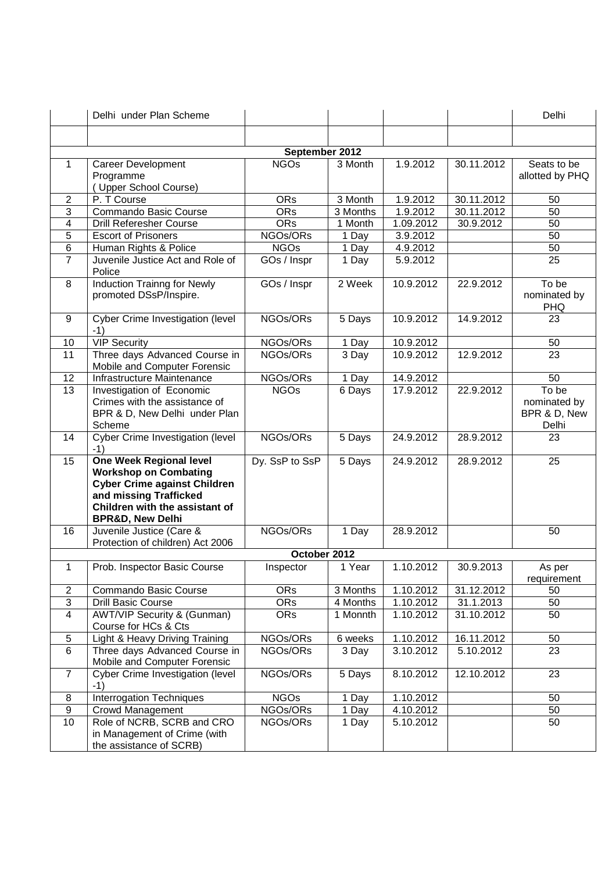|                         | Delhi under Plan Scheme                                                                                                                                                                          |                |          |           |            | Delhi                                          |  |  |  |
|-------------------------|--------------------------------------------------------------------------------------------------------------------------------------------------------------------------------------------------|----------------|----------|-----------|------------|------------------------------------------------|--|--|--|
|                         |                                                                                                                                                                                                  |                |          |           |            |                                                |  |  |  |
|                         | September 2012                                                                                                                                                                                   |                |          |           |            |                                                |  |  |  |
| $\mathbf{1}$            | Career Development<br>Programme<br>(Upper School Course)                                                                                                                                         | <b>NGOs</b>    | 3 Month  | 1.9.2012  | 30.11.2012 | Seats to be<br>allotted by PHQ                 |  |  |  |
| $\overline{2}$          | P. T Course                                                                                                                                                                                      | <b>ORs</b>     | 3 Month  | 1.9.2012  | 30.11.2012 | 50                                             |  |  |  |
| 3                       | Commando Basic Course                                                                                                                                                                            | ORs            | 3 Months | 1.9.2012  | 30.11.2012 | $\overline{50}$                                |  |  |  |
| 4                       | <b>Drill Referesher Course</b>                                                                                                                                                                   | <b>ORs</b>     | 1 Month  | 1.09.2012 | 30.9.2012  | 50                                             |  |  |  |
| 5                       | <b>Escort of Prisoners</b>                                                                                                                                                                       | NGOs/ORs       | 1 Day    | 3.9.2012  |            | 50                                             |  |  |  |
| 6                       | Human Rights & Police                                                                                                                                                                            | <b>NGOs</b>    | 1 Day    | 4.9.2012  |            | 50                                             |  |  |  |
| $\overline{7}$          | Juvenile Justice Act and Role of<br>Police                                                                                                                                                       | GOs / Inspr    | 1 Day    | 5.9.2012  |            | 25                                             |  |  |  |
| 8                       | <b>Induction Trainng for Newly</b><br>promoted DSsP/Inspire.                                                                                                                                     | GOs / Inspr    | 2 Week   | 10.9.2012 | 22.9.2012  | To be<br>nominated by<br><b>PHQ</b>            |  |  |  |
| 9                       | Cyber Crime Investigation (level<br>$-1)$                                                                                                                                                        | NGOs/ORs       | 5 Days   | 10.9.2012 | 14.9.2012  | 23                                             |  |  |  |
| 10                      | <b>VIP Security</b>                                                                                                                                                                              | NGOs/ORs       | 1 Day    | 10.9.2012 |            | 50                                             |  |  |  |
| $\overline{11}$         | Three days Advanced Course in<br>Mobile and Computer Forensic                                                                                                                                    | NGOs/ORs       | 3 Day    | 10.9.2012 | 12.9.2012  | $\overline{23}$                                |  |  |  |
| 12                      | Infrastructure Maintenance                                                                                                                                                                       | NGOs/ORs       | 1 Day    | 14.9.2012 |            | 50                                             |  |  |  |
| 13                      | Investigation of Economic<br>Crimes with the assistance of<br>BPR & D, New Delhi under Plan<br>Scheme                                                                                            | <b>NGOs</b>    | 6 Days   | 17.9.2012 | 22.9.2012  | To be<br>nominated by<br>BPR & D, New<br>Delhi |  |  |  |
| 14                      | Cyber Crime Investigation (level<br>$-1)$                                                                                                                                                        | NGOs/ORs       | 5 Days   | 24.9.2012 | 28.9.2012  | 23                                             |  |  |  |
| 15                      | <b>One Week Regional level</b><br><b>Workshop on Combating</b><br><b>Cyber Crime against Children</b><br>and missing Trafficked<br>Children with the assistant of<br><b>BPR&amp;D, New Delhi</b> | Dy. SsP to SsP | 5 Days   | 24.9.2012 | 28.9.2012  | 25                                             |  |  |  |
| 16                      | Juvenile Justice (Care &<br>Protection of children) Act 2006                                                                                                                                     | NGOs/ORs       | 1 Day    | 28.9.2012 |            | 50                                             |  |  |  |
|                         |                                                                                                                                                                                                  | October 2012   |          |           |            |                                                |  |  |  |
| 1                       | Prob. Inspector Basic Course                                                                                                                                                                     | Inspector      | 1 Year   | 1.10.2012 | 30.9.2013  | As per<br>requirement                          |  |  |  |
| $\overline{2}$          | Commando Basic Course                                                                                                                                                                            | <b>ORs</b>     | 3 Months | 1.10.2012 | 31.12.2012 | 50                                             |  |  |  |
| $\overline{3}$          | <b>Drill Basic Course</b>                                                                                                                                                                        | <b>ORs</b>     | 4 Months | 1.10.2012 | 31.1.2013  | 50                                             |  |  |  |
| $\overline{\mathbf{4}}$ | <b>AWT/VIP Security &amp; (Gunman)</b><br>Course for HCs & Cts                                                                                                                                   | <b>ORs</b>     | 1 Monnth | 1.10.2012 | 31.10.2012 | 50                                             |  |  |  |
| 5                       | Light & Heavy Driving Training                                                                                                                                                                   | NGOs/ORs       | 6 weeks  | 1.10.2012 | 16.11.2012 | 50                                             |  |  |  |
| 6                       | Three days Advanced Course in<br>Mobile and Computer Forensic                                                                                                                                    | NGOs/ORs       | 3 Day    | 3.10.2012 | 5.10.2012  | 23                                             |  |  |  |
| $\overline{7}$          | Cyber Crime Investigation (level<br>$-1)$                                                                                                                                                        | NGOs/ORs       | 5 Days   | 8.10.2012 | 12.10.2012 | 23                                             |  |  |  |
| 8                       | <b>Interrogation Techniques</b>                                                                                                                                                                  | <b>NGOs</b>    | 1 Day    | 1.10.2012 |            | 50                                             |  |  |  |
| $\overline{9}$          | <b>Crowd Management</b>                                                                                                                                                                          | NGOs/ORs       | 1 Day    | 4.10.2012 |            | 50                                             |  |  |  |
| 10                      | Role of NCRB, SCRB and CRO<br>in Management of Crime (with<br>the assistance of SCRB)                                                                                                            | NGOs/ORs       | 1 Day    | 5.10.2012 |            | 50                                             |  |  |  |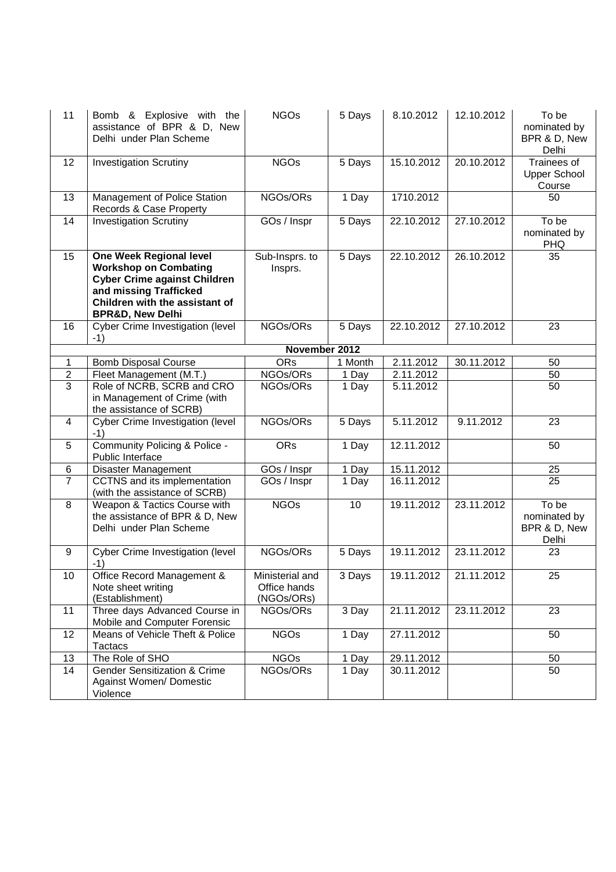| 11             | Bomb & Explosive with the<br>assistance of BPR & D, New<br>Delhi under Plan Scheme                                                                                                               | <b>NGOs</b>                                   | 5 Days  | 8.10.2012  | 12.10.2012 | To be<br>nominated by<br>BPR & D, New<br>Delhi |
|----------------|--------------------------------------------------------------------------------------------------------------------------------------------------------------------------------------------------|-----------------------------------------------|---------|------------|------------|------------------------------------------------|
| 12             | <b>Investigation Scrutiny</b>                                                                                                                                                                    | <b>NGOs</b>                                   | 5 Days  | 15.10.2012 | 20.10.2012 | Trainees of<br><b>Upper School</b><br>Course   |
| 13             | Management of Police Station<br>Records & Case Property                                                                                                                                          | NGOs/ORs                                      | 1 Day   | 1710.2012  |            | 50                                             |
| 14             | <b>Investigation Scrutiny</b>                                                                                                                                                                    | GOs / Inspr                                   | 5 Days  | 22.10.2012 | 27.10.2012 | To be<br>nominated by<br><b>PHQ</b>            |
| 15             | <b>One Week Regional level</b><br><b>Workshop on Combating</b><br><b>Cyber Crime against Children</b><br>and missing Trafficked<br>Children with the assistant of<br><b>BPR&amp;D, New Delhi</b> | Sub-Insprs. to<br>Insprs.                     | 5 Days  | 22.10.2012 | 26.10.2012 | 35                                             |
| 16             | Cyber Crime Investigation (level<br>$-1)$                                                                                                                                                        | NGOs/ORs                                      | 5 Days  | 22.10.2012 | 27.10.2012 | 23                                             |
|                |                                                                                                                                                                                                  | November 2012                                 |         |            |            |                                                |
| 1              | <b>Bomb Disposal Course</b>                                                                                                                                                                      | <b>ORs</b>                                    | 1 Month | 2.11.2012  | 30.11.2012 | 50                                             |
| $\overline{2}$ | Fleet Management (M.T.)                                                                                                                                                                          | NGOs/ORs                                      | 1 Day   | 2.11.2012  |            | 50                                             |
| 3              | Role of NCRB, SCRB and CRO<br>in Management of Crime (with<br>the assistance of SCRB)                                                                                                            | NGOs/ORs                                      | 1 Day   | 5.11.2012  |            | $\overline{50}$                                |
| 4              | Cyber Crime Investigation (level<br>$-1)$                                                                                                                                                        | NGOs/ORs                                      | 5 Days  | 5.11.2012  | 9.11.2012  | 23                                             |
| 5              | Community Policing & Police -<br>Public Interface                                                                                                                                                | <b>ORs</b>                                    | 1 Day   | 12.11.2012 |            | 50                                             |
| 6              | Disaster Management                                                                                                                                                                              | GOs / Inspr                                   | 1 Day   | 15.11.2012 |            | 25                                             |
| $\overline{7}$ | CCTNS and its implementation<br>(with the assistance of SCRB)                                                                                                                                    | GOs / Inspr                                   | 1 Day   | 16.11.2012 |            | 25                                             |
| 8              | Weapon & Tactics Course with<br>the assistance of BPR & D, New<br>Delhi under Plan Scheme                                                                                                        | <b>NGOs</b>                                   | 10      | 19.11.2012 | 23.11.2012 | To be<br>nominated by<br>BPR & D, New<br>Delhi |
| 9              | Cyber Crime Investigation (level<br>$-1)$                                                                                                                                                        | NGOs/ORs                                      | 5 Days  | 19.11.2012 | 23.11.2012 | 23                                             |
| 10             | Office Record Management &<br>Note sheet writing<br>(Establishment)                                                                                                                              | Ministerial and<br>Office hands<br>(NGOs/ORs) | 3 Days  | 19.11.2012 | 21.11.2012 | 25                                             |
| 11             | Three days Advanced Course in<br>Mobile and Computer Forensic                                                                                                                                    | NGOs/ORs                                      | 3 Day   | 21.11.2012 | 23.11.2012 | 23                                             |
| 12             | Means of Vehicle Theft & Police<br>Tactacs                                                                                                                                                       | <b>NGOs</b>                                   | 1 Day   | 27.11.2012 |            | 50                                             |
| 13             | The Role of SHO                                                                                                                                                                                  | <b>NGOs</b>                                   | 1 Day   | 29.11.2012 |            | 50                                             |
| 14             | <b>Gender Sensitization &amp; Crime</b><br>Against Women/ Domestic<br>Violence                                                                                                                   | NGOs/ORs                                      | 1 Day   | 30.11.2012 |            | 50                                             |